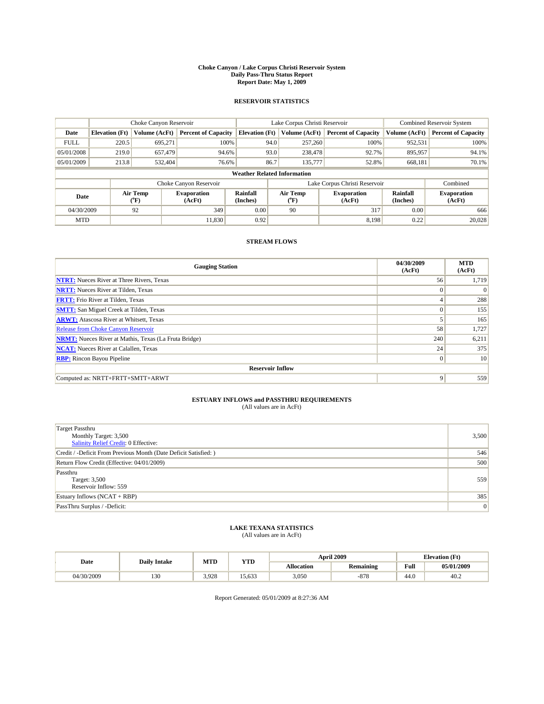#### **Choke Canyon / Lake Corpus Christi Reservoir System Daily Pass-Thru Status Report Report Date: May 1, 2009**

### **RESERVOIR STATISTICS**

|             | Choke Canyon Reservoir             |                          |                              |                       | Lake Corpus Christi Reservoir | <b>Combined Reservoir System</b> |                      |                              |  |
|-------------|------------------------------------|--------------------------|------------------------------|-----------------------|-------------------------------|----------------------------------|----------------------|------------------------------|--|
| Date        | <b>Elevation</b> (Ft)              | Volume (AcFt)            | <b>Percent of Capacity</b>   | <b>Elevation (Ft)</b> | Volume (AcFt)                 | <b>Percent of Capacity</b>       | Volume (AcFt)        | <b>Percent of Capacity</b>   |  |
| <b>FULL</b> | 220.5                              | 695,271                  | 100%                         | 94.0                  | 257,260                       | 100%                             | 952,531              | 100%                         |  |
| 05/01/2008  | 219.0                              | 657,479                  | 94.6%                        |                       | 93.0<br>238,478               | 92.7%                            | 895,957              | 94.1%                        |  |
| 05/01/2009  | 213.8                              | 532.404                  | 76.6%                        | 86.7                  | 135,777                       | 52.8%                            | 668,181              | 70.1%                        |  |
|             | <b>Weather Related Information</b> |                          |                              |                       |                               |                                  |                      |                              |  |
|             |                                    |                          | Choke Canyon Reservoir       |                       |                               | Lake Corpus Christi Reservoir    |                      | Combined                     |  |
| Date        |                                    | Air Temp<br>$\rm ^{o}F)$ | <b>Evaporation</b><br>(AcFt) | Rainfall<br>(Inches)  | Air Temp<br>("F)              | <b>Evaporation</b><br>(AcFt)     | Rainfall<br>(Inches) | <b>Evaporation</b><br>(AcFt) |  |
| 04/30/2009  |                                    | 92                       | 349                          | 0.00                  | 90                            | 317                              | 0.00                 | 666                          |  |
| <b>MTD</b>  |                                    |                          | 11,830                       | 0.92                  |                               | 8,198                            | 0.22                 | 20,028                       |  |

## **STREAM FLOWS**

| <b>Gauging Station</b>                                       | 04/30/2009<br>(AcFt) | <b>MTD</b><br>(AcFt) |  |  |  |  |  |
|--------------------------------------------------------------|----------------------|----------------------|--|--|--|--|--|
| <b>NTRT:</b> Nueces River at Three Rivers, Texas             | 56                   | 1,719                |  |  |  |  |  |
| <b>NRTT:</b> Nueces River at Tilden, Texas                   | $\Omega$             |                      |  |  |  |  |  |
| <b>FRTT:</b> Frio River at Tilden, Texas                     | 4                    | 288                  |  |  |  |  |  |
| <b>SMTT:</b> San Miguel Creek at Tilden, Texas               | $\Omega$             | 155                  |  |  |  |  |  |
| <b>ARWT:</b> Atascosa River at Whitsett, Texas               |                      | 165                  |  |  |  |  |  |
| Release from Choke Canyon Reservoir                          | 58                   | 1,727                |  |  |  |  |  |
| <b>NRMT:</b> Nueces River at Mathis, Texas (La Fruta Bridge) | 240                  | 6,211                |  |  |  |  |  |
| <b>NCAT:</b> Nueces River at Calallen, Texas                 | 24                   | 375                  |  |  |  |  |  |
| <b>RBP:</b> Rincon Bayou Pipeline                            | $\overline{0}$       | 10                   |  |  |  |  |  |
| <b>Reservoir Inflow</b>                                      |                      |                      |  |  |  |  |  |
| Computed as: NRTT+FRTT+SMTT+ARWT                             | 9                    | 559                  |  |  |  |  |  |

# **ESTUARY INFLOWS and PASSTHRU REQUIREMENTS**<br>(All values are in AcFt)

| <b>Target Passthru</b><br>Monthly Target: 3,500<br>Salinity Relief Credit: 0 Effective: | 3,500 |
|-----------------------------------------------------------------------------------------|-------|
| Credit / -Deficit From Previous Month (Date Deficit Satisfied: )                        | 546   |
| Return Flow Credit (Effective: 04/01/2009)                                              | 500   |
| Passthru<br>Target: 3,500<br>Reservoir Inflow: 559                                      | 559   |
| Estuary Inflows $(NCAT + RBP)$                                                          | 385   |
| PassThru Surplus / -Deficit:                                                            | 0     |

## **LAKE TEXANA STATISTICS** (All values are in AcFt)

|            | <b>Daily Intake</b> | MTD   | <b>YTD</b> |                   | <b>April 2009</b> | <b>Elevation</b> (Ft)                       |            |
|------------|---------------------|-------|------------|-------------------|-------------------|---------------------------------------------|------------|
| Date       |                     |       |            | <b>Allocation</b> | <b>Remaining</b>  | Full<br>the contract of the contract of the | 05/01/2009 |
| 04/30/2009 | 130                 | 3.928 | 5.633      | 3.050             | $-878$            | 44.0                                        | 40.2       |

Report Generated: 05/01/2009 at 8:27:36 AM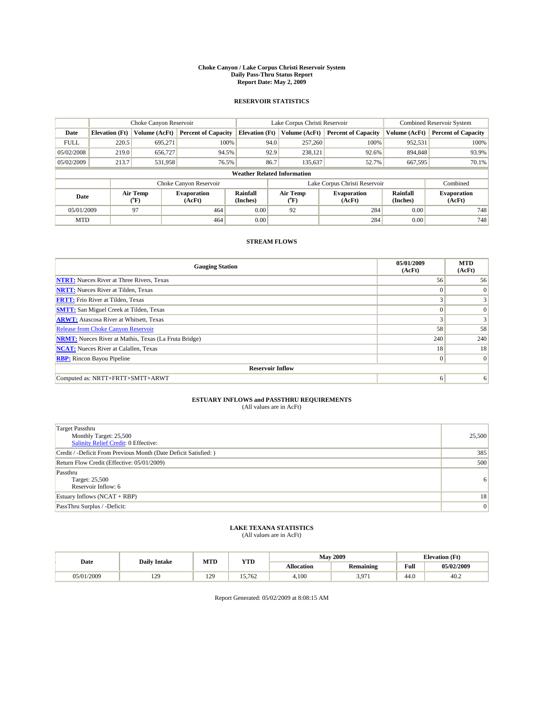#### **Choke Canyon / Lake Corpus Christi Reservoir System Daily Pass-Thru Status Report Report Date: May 2, 2009**

### **RESERVOIR STATISTICS**

|             | Choke Canyon Reservoir             |                             |                              |                       | Lake Corpus Christi Reservoir | <b>Combined Reservoir System</b> |                      |                              |  |
|-------------|------------------------------------|-----------------------------|------------------------------|-----------------------|-------------------------------|----------------------------------|----------------------|------------------------------|--|
| Date        | <b>Elevation</b> (Ft)              | Volume (AcFt)               | <b>Percent of Capacity</b>   | <b>Elevation</b> (Ft) | Volume (AcFt)                 | <b>Percent of Capacity</b>       | Volume (AcFt)        | <b>Percent of Capacity</b>   |  |
| <b>FULL</b> | 220.5                              | 695,271                     | 100%                         | 94.0                  | 257,260                       | 100%                             | 952,531              | 100%                         |  |
| 05/02/2008  | 219.0                              | 656,727                     | 94.5%                        | 92.9                  | 238,121                       | 92.6%                            | 894,848              | 93.9%                        |  |
| 05/02/2009  | 213.7                              | 531,958                     | 76.5%                        | 86.7                  | 135,637                       | 52.7%                            | 667.595              | 70.1%                        |  |
|             | <b>Weather Related Information</b> |                             |                              |                       |                               |                                  |                      |                              |  |
|             |                                    |                             | Choke Canyon Reservoir       |                       |                               | Lake Corpus Christi Reservoir    |                      | Combined                     |  |
| Date        |                                    | Air Temp<br>${}^{\circ}$ F) | <b>Evaporation</b><br>(AcFt) | Rainfall<br>(Inches)  | Air Temp<br>("F)              | <b>Evaporation</b><br>(AcFt)     | Rainfall<br>(Inches) | <b>Evaporation</b><br>(AcFt) |  |
| 05/01/2009  |                                    | 97                          | 464                          | 0.00                  | 92                            | 284                              | 0.00                 | 748                          |  |
| <b>MTD</b>  |                                    |                             | 464                          | 0.00                  |                               | 284                              | 0.00                 | 748                          |  |

## **STREAM FLOWS**

| <b>Gauging Station</b>                                       | 05/01/2009<br>(AcFt) | <b>MTD</b><br>(AcFt) |  |  |  |  |  |
|--------------------------------------------------------------|----------------------|----------------------|--|--|--|--|--|
| <b>NTRT:</b> Nueces River at Three Rivers, Texas             | 56                   | 56                   |  |  |  |  |  |
| <b>NRTT:</b> Nueces River at Tilden, Texas                   | $\theta$             | $\Omega$             |  |  |  |  |  |
| <b>FRTT:</b> Frio River at Tilden, Texas                     |                      |                      |  |  |  |  |  |
| <b>SMTT:</b> San Miguel Creek at Tilden, Texas               | $\theta$             | 0                    |  |  |  |  |  |
| <b>ARWT:</b> Atascosa River at Whitsett, Texas               | 3                    | 3 <sub>1</sub>       |  |  |  |  |  |
| Release from Choke Canyon Reservoir                          | 58                   | 58                   |  |  |  |  |  |
| <b>NRMT:</b> Nueces River at Mathis, Texas (La Fruta Bridge) | 240                  | 240                  |  |  |  |  |  |
| <b>NCAT:</b> Nueces River at Calallen, Texas                 | 18                   | 18                   |  |  |  |  |  |
| <b>RBP:</b> Rincon Bayou Pipeline                            | $\mathbf{0}$         | 0                    |  |  |  |  |  |
| <b>Reservoir Inflow</b>                                      |                      |                      |  |  |  |  |  |
| Computed as: NRTT+FRTT+SMTT+ARWT                             | 6                    | 6                    |  |  |  |  |  |

# **ESTUARY INFLOWS and PASSTHRU REQUIREMENTS**<br>(All values are in AcFt)

| <b>Target Passthru</b><br>Monthly Target: 25,500<br>Salinity Relief Credit: 0 Effective: | 25,500         |
|------------------------------------------------------------------------------------------|----------------|
| Credit / -Deficit From Previous Month (Date Deficit Satisfied: )                         | 385            |
| Return Flow Credit (Effective: 05/01/2009)                                               | 500            |
| Passthru<br>Target: 25,500<br>Reservoir Inflow: 6                                        | 6 <sup>1</sup> |
| Estuary Inflows $(NCAT + RBP)$                                                           | 18             |
| PassThru Surplus / -Deficit:                                                             | 0              |

## **LAKE TEXANA STATISTICS** (All values are in AcFt)

|            | <b>Daily Intake</b>   | MTD | <b>YTD</b> |                   | <b>May 2009</b>  | <b>Elevation</b> (Ft)                       |            |
|------------|-----------------------|-----|------------|-------------------|------------------|---------------------------------------------|------------|
| Date       |                       |     |            | <b>Allocation</b> | <b>Remaining</b> | Full<br>the contract of the contract of the | 05/02/2009 |
| 05/01/2009 | 120<br>$\overline{1}$ | 129 | 15.762     | 4.100             | 397<br>، روب     | 44.0                                        | 40.2       |

Report Generated: 05/02/2009 at 8:08:15 AM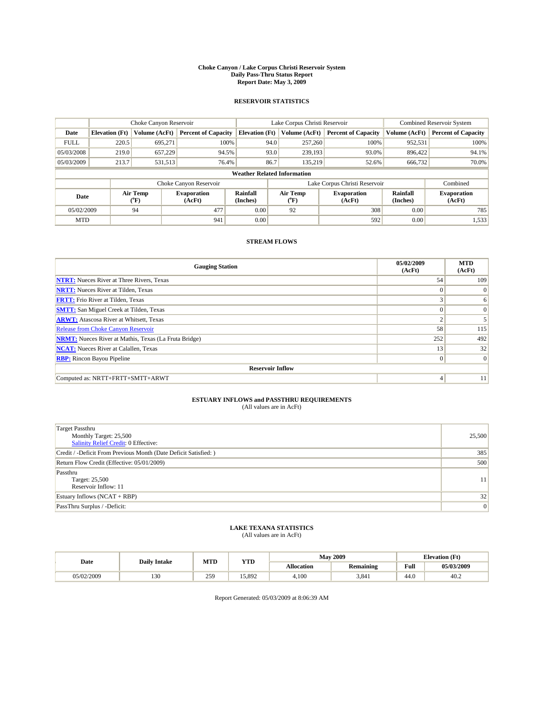#### **Choke Canyon / Lake Corpus Christi Reservoir System Daily Pass-Thru Status Report Report Date: May 3, 2009**

### **RESERVOIR STATISTICS**

|             | Choke Canyon Reservoir             |                          |                              |                       | Lake Corpus Christi Reservoir | <b>Combined Reservoir System</b> |                      |                              |  |
|-------------|------------------------------------|--------------------------|------------------------------|-----------------------|-------------------------------|----------------------------------|----------------------|------------------------------|--|
| Date        | <b>Elevation</b> (Ft)              | Volume (AcFt)            | <b>Percent of Capacity</b>   | <b>Elevation</b> (Ft) | Volume (AcFt)                 | <b>Percent of Capacity</b>       | Volume (AcFt)        | <b>Percent of Capacity</b>   |  |
| <b>FULL</b> | 220.5                              | 695,271                  | 100%                         | 94.0                  | 257,260                       | 100%                             | 952,531              | 100%                         |  |
| 05/03/2008  | 219.0                              | 657,229                  | 94.5%                        | 93.0                  | 239,193                       | 93.0%                            | 896.422              | 94.1%                        |  |
| 05/03/2009  | 213.7                              | 531,513                  | 76.4%                        | 86.7                  | 135.219                       | 52.6%                            | 666,732              | 70.0%                        |  |
|             | <b>Weather Related Information</b> |                          |                              |                       |                               |                                  |                      |                              |  |
|             |                                    |                          | Choke Canyon Reservoir       |                       |                               | Lake Corpus Christi Reservoir    |                      | Combined                     |  |
| Date        |                                    | Air Temp<br>$\rm ^{o}F)$ | <b>Evaporation</b><br>(AcFt) | Rainfall<br>(Inches)  | Air Temp<br>("F)              | <b>Evaporation</b><br>(AcFt)     | Rainfall<br>(Inches) | <b>Evaporation</b><br>(AcFt) |  |
| 05/02/2009  |                                    | 94                       | 477                          | 0.00                  | 92                            | 308                              | 0.00                 | 785                          |  |
| <b>MTD</b>  |                                    |                          | 941                          | 0.00                  |                               | 592                              | 0.00                 | 1,533                        |  |

## **STREAM FLOWS**

| <b>Gauging Station</b>                                       | 05/02/2009<br>(AcFt) | <b>MTD</b><br>(AcFt) |  |  |  |  |  |
|--------------------------------------------------------------|----------------------|----------------------|--|--|--|--|--|
| <b>NTRT:</b> Nueces River at Three Rivers, Texas             | 54                   | 109                  |  |  |  |  |  |
| <b>NRTT:</b> Nueces River at Tilden, Texas                   | $\Omega$             | $\Omega$             |  |  |  |  |  |
| <b>FRTT:</b> Frio River at Tilden, Texas                     | 3                    | 6                    |  |  |  |  |  |
| <b>SMTT:</b> San Miguel Creek at Tilden, Texas               | $\Omega$             | $\Omega$             |  |  |  |  |  |
| <b>ARWT:</b> Atascosa River at Whitsett, Texas               | $\sim$               |                      |  |  |  |  |  |
| Release from Choke Canyon Reservoir                          | 58                   | 115                  |  |  |  |  |  |
| <b>NRMT:</b> Nueces River at Mathis, Texas (La Fruta Bridge) | 252                  | 492                  |  |  |  |  |  |
| <b>NCAT:</b> Nueces River at Calallen, Texas                 | 13                   | 32                   |  |  |  |  |  |
| <b>RBP:</b> Rincon Bayou Pipeline                            | $\overline{0}$       | $\Omega$             |  |  |  |  |  |
| <b>Reservoir Inflow</b>                                      |                      |                      |  |  |  |  |  |
| Computed as: NRTT+FRTT+SMTT+ARWT                             | 4                    | 11                   |  |  |  |  |  |

# **ESTUARY INFLOWS and PASSTHRU REQUIREMENTS**<br>(All values are in AcFt)

| <b>Target Passthru</b><br>Monthly Target: 25,500<br>Salinity Relief Credit: 0 Effective: | 25,500 |
|------------------------------------------------------------------------------------------|--------|
| Credit / -Deficit From Previous Month (Date Deficit Satisfied: )                         | 385    |
| Return Flow Credit (Effective: 05/01/2009)                                               | 500    |
| Passthru<br>Target: 25,500<br>Reservoir Inflow: 11                                       | 11     |
| Estuary Inflows $(NCAT + RBP)$                                                           | 32     |
| PassThru Surplus / -Deficit:                                                             | 0      |

## **LAKE TEXANA STATISTICS** (All values are in AcFt)

|            | <b>Daily Intake</b> | MTD | <b>YTD</b> |            | <b>May 2009</b>  | <b>Elevation</b> (Ft)                       |            |
|------------|---------------------|-----|------------|------------|------------------|---------------------------------------------|------------|
| Date       |                     |     |            | Allocation | <b>Remaining</b> | Full<br>the contract of the contract of the | 05/03/2009 |
| 05/02/2009 | $\sim$<br>1 J U     | 259 | 15.892     | 4.100      | 3,841            | 44.0                                        | 40.2       |

Report Generated: 05/03/2009 at 8:06:39 AM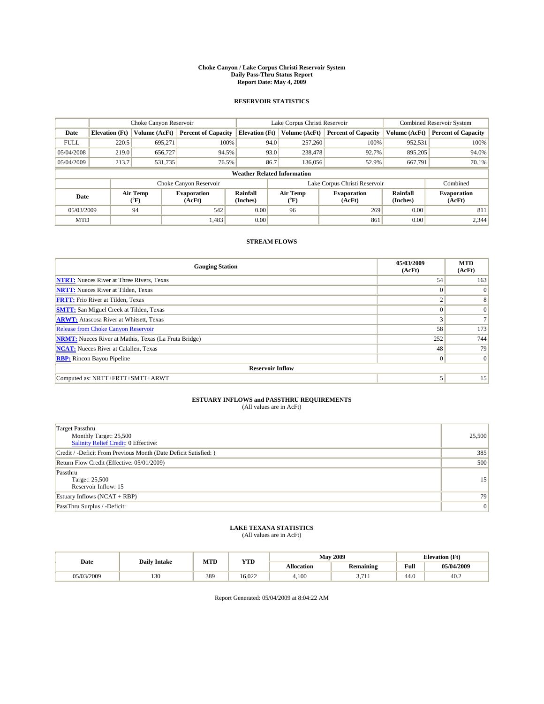#### **Choke Canyon / Lake Corpus Christi Reservoir System Daily Pass-Thru Status Report Report Date: May 4, 2009**

### **RESERVOIR STATISTICS**

|             |                                    |                  | Lake Corpus Christi Reservoir |                             |      |                  | <b>Combined Reservoir System</b> |                      |                              |
|-------------|------------------------------------|------------------|-------------------------------|-----------------------------|------|------------------|----------------------------------|----------------------|------------------------------|
| Date        | <b>Elevation</b> (Ft)              | Volume (AcFt)    | <b>Percent of Capacity</b>    | <b>Elevation (Ft)</b>       |      | Volume (AcFt)    | <b>Percent of Capacity</b>       | Volume (AcFt)        | <b>Percent of Capacity</b>   |
| <b>FULL</b> | 220.5                              | 695,271          | 100%                          |                             | 94.0 | 257,260          | 100%                             | 952,531              | 100%                         |
| 05/04/2008  | 219.0                              | 656,727          | 94.5%                         |                             | 93.0 | 238,478          | 92.7%                            | 895,205              | 94.0%                        |
| 05/04/2009  | 213.7                              | 531,735          | 76.5%                         |                             | 86.7 | 136,056          | 52.9%                            | 667,791              | 70.1%                        |
|             | <b>Weather Related Information</b> |                  |                               |                             |      |                  |                                  |                      |                              |
|             |                                    |                  | Choke Canyon Reservoir        |                             |      |                  | Lake Corpus Christi Reservoir    |                      | Combined                     |
| Date        |                                    | Air Temp<br>(°F) | <b>Evaporation</b><br>(AcFt)  | <b>Rainfall</b><br>(Inches) |      | Air Temp<br>(°F) | <b>Evaporation</b><br>(AcFt)     | Rainfall<br>(Inches) | <b>Evaporation</b><br>(AcFt) |
| 05/03/2009  |                                    | 94               | 542                           | 0.00                        |      | 96               | 269                              | 0.00                 | 811                          |
| <b>MTD</b>  |                                    |                  | 1,483                         | 0.00                        |      |                  | 861                              | 0.00                 | 2.344                        |

## **STREAM FLOWS**

| <b>Gauging Station</b>                                       | 05/03/2009<br>(AcFt) | <b>MTD</b><br>(AcFt) |  |  |  |  |  |
|--------------------------------------------------------------|----------------------|----------------------|--|--|--|--|--|
| <b>NTRT:</b> Nueces River at Three Rivers, Texas             | 54                   | 163                  |  |  |  |  |  |
| <b>NRTT:</b> Nueces River at Tilden, Texas                   | $\Omega$             | $\Omega$             |  |  |  |  |  |
| <b>FRTT:</b> Frio River at Tilden, Texas                     | $\sim$               | 8                    |  |  |  |  |  |
| <b>SMTT:</b> San Miguel Creek at Tilden, Texas               | $\Omega$             | $\Omega$             |  |  |  |  |  |
| <b>ARWT:</b> Atascosa River at Whitsett, Texas               | $\sim$               |                      |  |  |  |  |  |
| Release from Choke Canyon Reservoir                          | 58                   | 173                  |  |  |  |  |  |
| <b>NRMT:</b> Nueces River at Mathis, Texas (La Fruta Bridge) | 252                  | 744                  |  |  |  |  |  |
| <b>NCAT:</b> Nueces River at Calallen, Texas                 | 48                   | 79                   |  |  |  |  |  |
| <b>RBP:</b> Rincon Bayou Pipeline                            | $\overline{0}$       | $\Omega$             |  |  |  |  |  |
| <b>Reservoir Inflow</b>                                      |                      |                      |  |  |  |  |  |
| Computed as: NRTT+FRTT+SMTT+ARWT                             |                      | 15                   |  |  |  |  |  |

# **ESTUARY INFLOWS and PASSTHRU REQUIREMENTS**<br>(All values are in AcFt)

| <b>Target Passthru</b><br>Monthly Target: 25,500<br>Salinity Relief Credit: 0 Effective: | 25,500          |
|------------------------------------------------------------------------------------------|-----------------|
| Credit / -Deficit From Previous Month (Date Deficit Satisfied: )                         | 385             |
| Return Flow Credit (Effective: 05/01/2009)                                               | 500             |
| Passthru<br>Target: 25,500<br>Reservoir Inflow: 15                                       | 15 <sup>1</sup> |
| Estuary Inflows $(NCAT + RBP)$                                                           | 79              |
| PassThru Surplus / -Deficit:                                                             | 0               |

## **LAKE TEXANA STATISTICS** (All values are in AcFt)

|            | <b>Daily Intake</b> | MTD | <b>YTD</b> |                   | <b>May 2009</b>   | <b>Elevation</b> (Ft)                       |            |
|------------|---------------------|-----|------------|-------------------|-------------------|---------------------------------------------|------------|
| Date       |                     |     |            | <b>Allocation</b> | <b>Remaining</b>  | Full<br>the contract of the contract of the | 05/04/2009 |
| 05/03/2009 | 130                 | 389 | 16.022     | 4,100             | 77<br>J.<br>, , , | 44.0                                        | 40.2       |

Report Generated: 05/04/2009 at 8:04:22 AM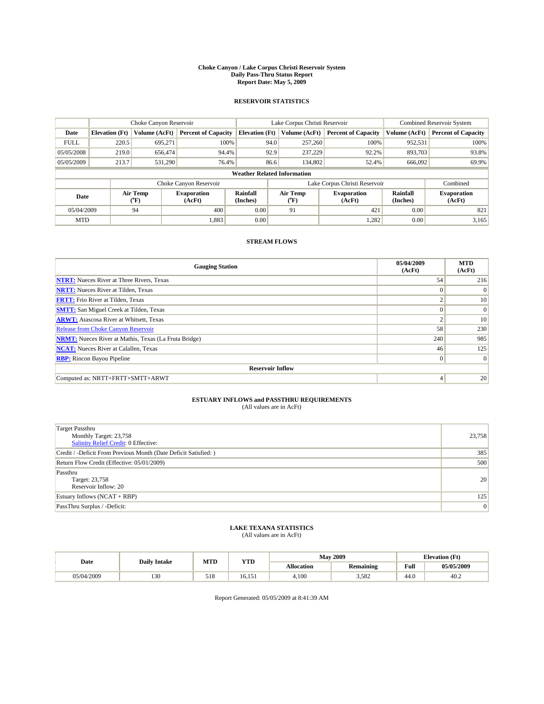#### **Choke Canyon / Lake Corpus Christi Reservoir System Daily Pass-Thru Status Report Report Date: May 5, 2009**

### **RESERVOIR STATISTICS**

|             | Choke Canyon Reservoir             |                          |                              |                       | Lake Corpus Christi Reservoir | <b>Combined Reservoir System</b> |                      |                              |  |
|-------------|------------------------------------|--------------------------|------------------------------|-----------------------|-------------------------------|----------------------------------|----------------------|------------------------------|--|
| Date        | <b>Elevation</b> (Ft)              | Volume (AcFt)            | <b>Percent of Capacity</b>   | <b>Elevation (Ft)</b> | Volume (AcFt)                 | <b>Percent of Capacity</b>       | Volume (AcFt)        | <b>Percent of Capacity</b>   |  |
| <b>FULL</b> | 220.5                              | 695,271                  | 100%                         | 94.0                  | 257,260                       | 100%                             | 952,531              | 100%                         |  |
| 05/05/2008  | 219.0                              | 656,474                  | 94.4%                        | 92.9                  | 237,229                       | 92.2%                            | 893,703              | 93.8%                        |  |
| 05/05/2009  | 213.7                              | 531.290                  | 76.4%                        | 86.6                  | 134,802                       | 52.4%                            | 666,092              | 69.9%                        |  |
|             | <b>Weather Related Information</b> |                          |                              |                       |                               |                                  |                      |                              |  |
|             |                                    |                          | Choke Canyon Reservoir       |                       |                               | Lake Corpus Christi Reservoir    |                      | Combined                     |  |
| Date        |                                    | Air Temp<br>$\rm ^{o}F)$ | <b>Evaporation</b><br>(AcFt) | Rainfall<br>(Inches)  | Air Temp<br>("F)              | <b>Evaporation</b><br>(AcFt)     | Rainfall<br>(Inches) | <b>Evaporation</b><br>(AcFt) |  |
| 05/04/2009  |                                    | 94                       | 400                          | 0.00                  | 91                            | 421                              | 0.00                 | 821                          |  |
| <b>MTD</b>  |                                    |                          | 1,883                        | 0.00                  |                               | 1,282                            | 0.00                 | 3,165                        |  |

## **STREAM FLOWS**

| <b>Gauging Station</b>                                       | 05/04/2009<br>(AcFt) | <b>MTD</b><br>(AcFt) |  |  |  |  |
|--------------------------------------------------------------|----------------------|----------------------|--|--|--|--|
| <b>NTRT:</b> Nueces River at Three Rivers, Texas             | 54                   | 216                  |  |  |  |  |
| <b>NRTT:</b> Nueces River at Tilden, Texas                   | $\Omega$             | $\Omega$             |  |  |  |  |
| <b>FRTT:</b> Frio River at Tilden, Texas                     | $\sim$               | 10 <sup>°</sup>      |  |  |  |  |
| <b>SMTT:</b> San Miguel Creek at Tilden, Texas               | $\Omega$             | $\Omega$             |  |  |  |  |
| <b>ARWT:</b> Atascosa River at Whitsett, Texas               | $\sim$               | 10                   |  |  |  |  |
| Release from Choke Canyon Reservoir                          | 58                   | 230                  |  |  |  |  |
| <b>NRMT:</b> Nueces River at Mathis, Texas (La Fruta Bridge) | 240                  | 985                  |  |  |  |  |
| <b>NCAT:</b> Nueces River at Calallen, Texas                 | 46                   | 125                  |  |  |  |  |
| <b>RBP:</b> Rincon Bayou Pipeline                            | $\overline{0}$       | $\Omega$             |  |  |  |  |
| <b>Reservoir Inflow</b>                                      |                      |                      |  |  |  |  |
| Computed as: NRTT+FRTT+SMTT+ARWT                             | 4                    | 20                   |  |  |  |  |

# **ESTUARY INFLOWS and PASSTHRU REQUIREMENTS**<br>(All values are in AcFt)

| Target Passthru<br>Monthly Target: 23,758<br>Salinity Relief Credit: 0 Effective: | 23,758 |
|-----------------------------------------------------------------------------------|--------|
| Credit / -Deficit From Previous Month (Date Deficit Satisfied: )                  | 385    |
| Return Flow Credit (Effective: 05/01/2009)                                        | 500    |
| Passthru<br>Target: 23,758<br>Reservoir Inflow: 20                                | 20     |
| Estuary Inflows (NCAT + RBP)                                                      | 125    |
| PassThru Surplus / -Deficit:                                                      | 0      |

## **LAKE TEXANA STATISTICS** (All values are in AcFt)

|            | <b>Daily Intake</b> | MTD        | <b>YTD</b>      |                   | <b>May 2009</b>  | <b>Elevation</b> (Ft)                       |            |
|------------|---------------------|------------|-----------------|-------------------|------------------|---------------------------------------------|------------|
| Date       |                     |            |                 | <b>Allocation</b> | <b>Remaining</b> | Full<br>the contract of the contract of the | 05/05/2009 |
| 05/04/2009 | $\sim$<br>1 J U     | 510<br>218 | 6,151<br>16.151 | 4.100             | 3,582            | 44.0                                        | 40.2       |

Report Generated: 05/05/2009 at 8:41:39 AM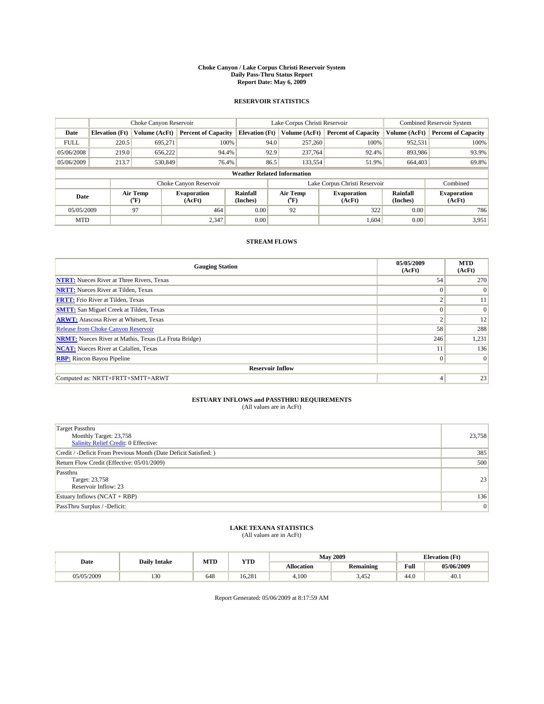#### **Choke Canyon / Lake Corpus Christi Reservoir System Daily Pass-Thru Status Report Report Date: May 6, 2009**

### **RESERVOIR STATISTICS**

|             |                                    | Choke Canyon Reservoir                    |                              |                             | Lake Corpus Christi Reservoir | <b>Combined Reservoir System</b> |                      |                              |  |  |
|-------------|------------------------------------|-------------------------------------------|------------------------------|-----------------------------|-------------------------------|----------------------------------|----------------------|------------------------------|--|--|
| Date        | <b>Elevation</b> (Ft)              | Volume (AcFt)                             | <b>Percent of Capacity</b>   | <b>Elevation</b> (Ft)       | Volume (AcFt)                 | <b>Percent of Capacity</b>       | Volume (AcFt)        | <b>Percent of Capacity</b>   |  |  |
| <b>FULL</b> | 220.5                              | 695,271                                   | 100%                         | 94.0                        | 257,260                       | 100%                             | 952,531              | 100%                         |  |  |
| 05/06/2008  | 219.0                              | 656,222                                   | 94.4%                        | 92.9                        | 237,764                       | 92.4%                            | 893,986              | 93.9%                        |  |  |
| 05/06/2009  | 213.7                              | 530,849                                   | 76.4%                        | 86.5                        | 133,554                       | 51.9%                            | 664,403              | 69.8%                        |  |  |
|             | <b>Weather Related Information</b> |                                           |                              |                             |                               |                                  |                      |                              |  |  |
|             |                                    |                                           | Choke Canyon Reservoir       |                             |                               | Lake Corpus Christi Reservoir    |                      | Combined                     |  |  |
| Date        |                                    | Air Temp<br>$({}^{\mathrm{o}}\mathrm{F})$ | <b>Evaporation</b><br>(AcFt) | <b>Rainfall</b><br>(Inches) | Air Temp<br>(°F)              | <b>Evaporation</b><br>(AcFt)     | Rainfall<br>(Inches) | <b>Evaporation</b><br>(AcFt) |  |  |
| 05/05/2009  |                                    | 97                                        | 464                          | 0.00                        | 92                            | 322                              | 0.00                 | 786                          |  |  |
| <b>MTD</b>  |                                    |                                           | 2,347                        | 0.00                        |                               | 1,604                            | 0.00                 | 3,951                        |  |  |

## **STREAM FLOWS**

| <b>Gauging Station</b>                                       | 05/05/2009<br>(AcFt) | <b>MTD</b><br>(AcFt) |  |  |  |  |  |
|--------------------------------------------------------------|----------------------|----------------------|--|--|--|--|--|
| <b>NTRT:</b> Nueces River at Three Rivers, Texas             | 54                   | 270                  |  |  |  |  |  |
| <b>NRTT:</b> Nueces River at Tilden, Texas                   | $\Omega$             | $\theta$             |  |  |  |  |  |
| <b>FRTT:</b> Frio River at Tilden, Texas                     | $\sim$               | 11                   |  |  |  |  |  |
| <b>SMTT:</b> San Miguel Creek at Tilden, Texas               | $\Omega$             | $\Omega$             |  |  |  |  |  |
| <b>ARWT:</b> Atascosa River at Whitsett, Texas               | $\sim$               | 12                   |  |  |  |  |  |
| <b>Release from Choke Canyon Reservoir</b>                   | 58                   | 288                  |  |  |  |  |  |
| <b>NRMT:</b> Nueces River at Mathis, Texas (La Fruta Bridge) | 246                  | 1,231                |  |  |  |  |  |
| <b>NCAT:</b> Nueces River at Calallen, Texas                 | 11                   | 136                  |  |  |  |  |  |
| <b>RBP:</b> Rincon Bayou Pipeline                            | $\mathbf{0}$         | $\Omega$             |  |  |  |  |  |
| <b>Reservoir Inflow</b>                                      |                      |                      |  |  |  |  |  |
| Computed as: NRTT+FRTT+SMTT+ARWT                             | 4                    | 23                   |  |  |  |  |  |

# **ESTUARY INFLOWS and PASSTHRU REQUIREMENTS**<br>(All values are in AcFt)

| <b>Target Passthru</b><br>Monthly Target: 23,758<br>Salinity Relief Credit: 0 Effective: | 23,758 |
|------------------------------------------------------------------------------------------|--------|
| Credit / -Deficit From Previous Month (Date Deficit Satisfied: )                         | 385    |
| Return Flow Credit (Effective: 05/01/2009)                                               | 500    |
| Passthru<br>Target: 23,758<br>Reservoir Inflow: 23                                       | 23     |
| Estuary Inflows $(NCAT + RBP)$                                                           | 136    |
| PassThru Surplus / -Deficit:                                                             | 0      |

## **LAKE TEXANA STATISTICS** (All values are in AcFt)

|            | <b>Daily Intake</b> | MTD | <b>YTD</b> |            | <b>May 2009</b>  | <b>Elevation</b> (Ft)                       |            |
|------------|---------------------|-----|------------|------------|------------------|---------------------------------------------|------------|
| Date       |                     |     |            | Allocation | <b>Remaining</b> | Full<br>the contract of the contract of the | 05/06/2009 |
| 05/05/2009 | $\sim$<br>1 J U     | 648 | 16.281     | 4.100      | 3.452            | 44.0                                        | 40.1       |

Report Generated: 05/06/2009 at 8:17:59 AM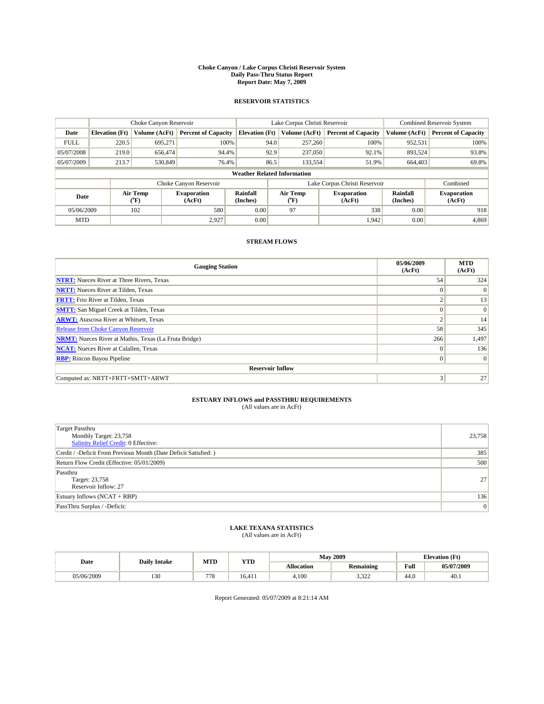#### **Choke Canyon / Lake Corpus Christi Reservoir System Daily Pass-Thru Status Report Report Date: May 7, 2009**

### **RESERVOIR STATISTICS**

|             | Choke Canyon Reservoir             |                          |                              |                       | Lake Corpus Christi Reservoir | <b>Combined Reservoir System</b> |                      |                              |  |  |
|-------------|------------------------------------|--------------------------|------------------------------|-----------------------|-------------------------------|----------------------------------|----------------------|------------------------------|--|--|
| Date        | <b>Elevation</b> (Ft)              | Volume (AcFt)            | <b>Percent of Capacity</b>   | <b>Elevation</b> (Ft) | Volume (AcFt)                 | <b>Percent of Capacity</b>       | Volume (AcFt)        | <b>Percent of Capacity</b>   |  |  |
| <b>FULL</b> | 220.5                              | 695,271                  | 100%                         | 94.0                  | 257,260                       | 100%                             | 952,531              | 100%                         |  |  |
| 05/07/2008  | 219.0                              | 656,474                  | 94.4%                        | 92.9                  | 237,050                       | 92.1%                            | 893,524              | 93.8%                        |  |  |
| 05/07/2009  | 213.7                              | 530,849                  | 76.4%                        | 86.5                  | 133,554                       | 51.9%                            | 664,403              | 69.8%                        |  |  |
|             | <b>Weather Related Information</b> |                          |                              |                       |                               |                                  |                      |                              |  |  |
|             |                                    |                          | Choke Canyon Reservoir       |                       |                               | Lake Corpus Christi Reservoir    |                      | Combined                     |  |  |
| Date        |                                    | Air Temp<br>$\rm ^{o}F)$ | <b>Evaporation</b><br>(AcFt) | Rainfall<br>(Inches)  | Air Temp<br>("F)              | <b>Evaporation</b><br>(AcFt)     | Rainfall<br>(Inches) | <b>Evaporation</b><br>(AcFt) |  |  |
| 05/06/2009  |                                    | 102                      | 580                          | 0.00                  | 97                            | 338                              | 0.00                 | 918                          |  |  |
| <b>MTD</b>  |                                    |                          | 2,927                        | 0.00                  |                               | 1,942                            | 0.00                 | 4,869                        |  |  |

## **STREAM FLOWS**

| <b>Gauging Station</b>                                       | 05/06/2009<br>(AcFt) | <b>MTD</b><br>(AcFt) |  |  |  |  |
|--------------------------------------------------------------|----------------------|----------------------|--|--|--|--|
| <b>NTRT:</b> Nueces River at Three Rivers, Texas             | 54                   | 324                  |  |  |  |  |
| <b>NRTT:</b> Nueces River at Tilden, Texas                   | $\Omega$             | $\Omega$             |  |  |  |  |
| <b>FRTT:</b> Frio River at Tilden, Texas                     | $\sim$               | 13                   |  |  |  |  |
| <b>SMTT:</b> San Miguel Creek at Tilden, Texas               | $\Omega$             | $\Omega$             |  |  |  |  |
| <b>ARWT:</b> Atascosa River at Whitsett, Texas               | ◠                    | 14                   |  |  |  |  |
| <b>Release from Choke Canyon Reservoir</b>                   | 58                   | 345                  |  |  |  |  |
| <b>NRMT:</b> Nueces River at Mathis, Texas (La Fruta Bridge) | 266                  | 1,497                |  |  |  |  |
| <b>NCAT:</b> Nueces River at Calallen, Texas                 | $\Omega$             | 136                  |  |  |  |  |
| <b>RBP:</b> Rincon Bayou Pipeline                            | $\overline{0}$       | $\Omega$             |  |  |  |  |
| <b>Reservoir Inflow</b>                                      |                      |                      |  |  |  |  |
| Computed as: NRTT+FRTT+SMTT+ARWT                             | 3                    | 27                   |  |  |  |  |

# **ESTUARY INFLOWS and PASSTHRU REQUIREMENTS**<br>(All values are in AcFt)

| <b>Target Passthru</b><br>Monthly Target: 23,758<br>Salinity Relief Credit: 0 Effective: | 23,758 |
|------------------------------------------------------------------------------------------|--------|
| Credit / -Deficit From Previous Month (Date Deficit Satisfied: )                         | 385    |
| Return Flow Credit (Effective: 05/01/2009)                                               | 500    |
| Passthru<br>Target: 23,758<br>Reservoir Inflow: 27                                       | 27     |
| Estuary Inflows $(NCAT + RBP)$                                                           | 136    |
| PassThru Surplus / -Deficit:                                                             | 0      |

## **LAKE TEXANA STATISTICS** (All values are in AcFt)

|            | <b>Daily Intake</b> | MTD | <b>YTD</b> |                   | <b>May 2009</b>  | <b>Elevation</b> (Ft)                       |            |
|------------|---------------------|-----|------------|-------------------|------------------|---------------------------------------------|------------|
| Date       |                     |     |            | <b>Allocation</b> | <b>Remaining</b> | Full<br>the contract of the contract of the | 05/07/2009 |
| 05/06/2009 | $\sim$<br>1 J U     | 778 | 16.411     | 4.100             | 2.22<br>ے بے در  | 44.0                                        | 40.1       |

Report Generated: 05/07/2009 at 8:21:14 AM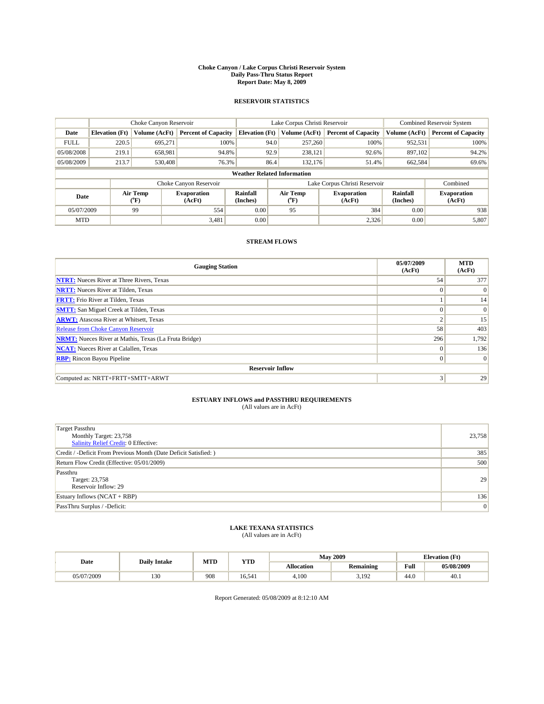#### **Choke Canyon / Lake Corpus Christi Reservoir System Daily Pass-Thru Status Report Report Date: May 8, 2009**

### **RESERVOIR STATISTICS**

|             |                                    | Choke Canyon Reservoir |                              |                       | Lake Corpus Christi Reservoir |                               | Combined Reservoir System |                              |  |  |
|-------------|------------------------------------|------------------------|------------------------------|-----------------------|-------------------------------|-------------------------------|---------------------------|------------------------------|--|--|
| Date        | <b>Elevation</b> (Ft)              | Volume (AcFt)          | <b>Percent of Capacity</b>   | <b>Elevation</b> (Ft) | Volume (AcFt)                 | <b>Percent of Capacity</b>    | Volume (AcFt)             | <b>Percent of Capacity</b>   |  |  |
| <b>FULL</b> | 220.5                              | 695,271                | 100%                         |                       | 257,260<br>94.0               | 100%                          | 952,531                   | 100%                         |  |  |
| 05/08/2008  | 219.1                              | 658,981                | 94.8%                        |                       | 92.9<br>238,121               | 92.6%                         | 897,102                   | 94.2%                        |  |  |
| 05/08/2009  | 213.7                              | 530,408                | 76.3%                        |                       | 86.4<br>132,176               | 51.4%                         | 662,584                   | 69.6%                        |  |  |
|             | <b>Weather Related Information</b> |                        |                              |                       |                               |                               |                           |                              |  |  |
|             |                                    |                        | Choke Canyon Reservoir       |                       |                               | Lake Corpus Christi Reservoir |                           | Combined                     |  |  |
| Date        |                                    | Air Temp<br>(°F)       | <b>Evaporation</b><br>(AcFt) | Rainfall<br>(Inches)  | Air Temp<br>("F)              | <b>Evaporation</b><br>(AcFt)  | Rainfall<br>(Inches)      | <b>Evaporation</b><br>(AcFt) |  |  |
| 05/07/2009  |                                    | 99                     | 554                          | 0.00                  | 95                            | 384                           | 0.00                      | 938                          |  |  |
| <b>MTD</b>  |                                    |                        | 3,481                        | 0.00                  |                               | 2,326                         | 0.00                      | 5,807                        |  |  |

## **STREAM FLOWS**

| <b>Gauging Station</b>                                       | 05/07/2009<br>(AcFt) | <b>MTD</b><br>(AcFt) |  |  |  |  |  |
|--------------------------------------------------------------|----------------------|----------------------|--|--|--|--|--|
| <b>NTRT:</b> Nueces River at Three Rivers, Texas             | 54                   | 377                  |  |  |  |  |  |
| <b>NRTT:</b> Nueces River at Tilden, Texas                   | $\Omega$             | $\Omega$             |  |  |  |  |  |
| <b>FRTT:</b> Frio River at Tilden, Texas                     |                      | 14                   |  |  |  |  |  |
| <b>SMTT:</b> San Miguel Creek at Tilden, Texas               | $\theta$             | $\Omega$             |  |  |  |  |  |
| <b>ARWT:</b> Atascosa River at Whitsett, Texas               | $\overline{2}$       | 15                   |  |  |  |  |  |
| <b>Release from Choke Canyon Reservoir</b>                   | 58                   | 403                  |  |  |  |  |  |
| <b>NRMT:</b> Nueces River at Mathis, Texas (La Fruta Bridge) | 296                  | 1,792                |  |  |  |  |  |
| <b>NCAT:</b> Nueces River at Calallen, Texas                 | $\theta$             | 136                  |  |  |  |  |  |
| <b>RBP:</b> Rincon Bayou Pipeline                            | $\mathbf{0}$         | $\vert$ 0            |  |  |  |  |  |
| <b>Reservoir Inflow</b>                                      |                      |                      |  |  |  |  |  |
| Computed as: NRTT+FRTT+SMTT+ARWT                             | 3                    | 29                   |  |  |  |  |  |

# **ESTUARY INFLOWS and PASSTHRU REQUIREMENTS**<br>(All values are in AcFt)

| <b>Target Passthru</b><br>Monthly Target: 23,758<br>Salinity Relief Credit: 0 Effective: | 23,758 |
|------------------------------------------------------------------------------------------|--------|
| Credit / -Deficit From Previous Month (Date Deficit Satisfied: )                         | 385    |
| Return Flow Credit (Effective: 05/01/2009)                                               | 500    |
| Passthru<br>Target: 23,758<br>Reservoir Inflow: 29                                       | 29     |
| Estuary Inflows $(NCAT + RBP)$                                                           | 136    |
| PassThru Surplus / -Deficit:                                                             | 0      |

## **LAKE TEXANA STATISTICS** (All values are in AcFt)

| Date       | <b>Daily Intake</b> | MTD | YTD             |                   | <b>May 2009</b>  | <b>Elevation</b> (Ft) |            |
|------------|---------------------|-----|-----------------|-------------------|------------------|-----------------------|------------|
| .          |                     |     |                 | <b>Allocation</b> | <b>Remaining</b> | Full                  | 05/08/2009 |
| 05/07/2009 | $\sim$<br>15U       | 908 | $-41$<br>16.541 | 4.100             | $19^\circ$       | 44.0                  | 40.I       |

Report Generated: 05/08/2009 at 8:12:10 AM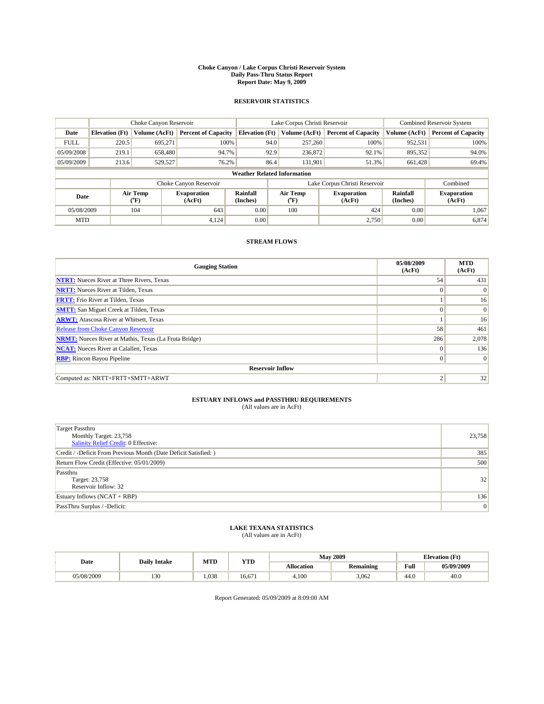#### **Choke Canyon / Lake Corpus Christi Reservoir System Daily Pass-Thru Status Report Report Date: May 9, 2009**

### **RESERVOIR STATISTICS**

|             | Choke Canyon Reservoir             |                             |                              |                             | Lake Corpus Christi Reservoir |                  |                               |                      | <b>Combined Reservoir System</b> |  |
|-------------|------------------------------------|-----------------------------|------------------------------|-----------------------------|-------------------------------|------------------|-------------------------------|----------------------|----------------------------------|--|
| Date        | <b>Elevation</b> (Ft)              | Volume (AcFt)               | <b>Percent of Capacity</b>   | <b>Elevation (Ft)</b>       |                               | Volume (AcFt)    | <b>Percent of Capacity</b>    | Volume (AcFt)        | <b>Percent of Capacity</b>       |  |
| <b>FULL</b> | 220.5                              | 695,271                     | 100%                         |                             | 94.0                          | 257,260          | 100%                          | 952,531              | 100%                             |  |
| 05/09/2008  | 219.1                              | 658,480                     | 94.7%                        |                             | 92.9                          | 236,872          | 92.1%                         | 895,352              | 94.0%                            |  |
| 05/09/2009  | 213.6                              | 529,527                     | 76.2%                        |                             | 86.4                          | 131,901          | 51.3%                         | 661.428              | 69.4%                            |  |
|             | <b>Weather Related Information</b> |                             |                              |                             |                               |                  |                               |                      |                                  |  |
|             |                                    |                             | Choke Canyon Reservoir       |                             |                               |                  | Lake Corpus Christi Reservoir |                      | Combined                         |  |
| Date        |                                    | Air Temp<br>${}^{\circ}$ F) | <b>Evaporation</b><br>(AcFt) | <b>Rainfall</b><br>(Inches) |                               | Air Temp<br>(°F) | <b>Evaporation</b><br>(AcFt)  | Rainfall<br>(Inches) | <b>Evaporation</b><br>(AcFt)     |  |
| 05/08/2009  |                                    | 104                         | 643                          | 0.00                        |                               | 100              | 424                           | 0.00                 | 1,067                            |  |
| <b>MTD</b>  |                                    |                             | 4,124                        | 0.00                        |                               |                  | 2,750                         | 0.00                 | 6,874                            |  |

## **STREAM FLOWS**

| <b>Gauging Station</b>                                       | 05/08/2009<br>(AcFt) | <b>MTD</b><br>(AcFt) |  |  |  |  |  |
|--------------------------------------------------------------|----------------------|----------------------|--|--|--|--|--|
| <b>NTRT:</b> Nueces River at Three Rivers, Texas             | 54                   | 431                  |  |  |  |  |  |
| <b>NRTT:</b> Nueces River at Tilden, Texas                   | $\Omega$             | $\theta$             |  |  |  |  |  |
| <b>FRTT:</b> Frio River at Tilden, Texas                     |                      | 16                   |  |  |  |  |  |
| <b>SMTT:</b> San Miguel Creek at Tilden, Texas               | $\Omega$             | $\Omega$             |  |  |  |  |  |
| <b>ARWT:</b> Atascosa River at Whitsett, Texas               |                      | 16                   |  |  |  |  |  |
| Release from Choke Canyon Reservoir                          | 58                   | 461                  |  |  |  |  |  |
| <b>NRMT:</b> Nueces River at Mathis, Texas (La Fruta Bridge) | 286                  | 2,078                |  |  |  |  |  |
| <b>NCAT:</b> Nueces River at Calallen, Texas                 | $\Omega$             | 136                  |  |  |  |  |  |
| <b>RBP:</b> Rincon Bayou Pipeline                            | $\Omega$             | $\Omega$             |  |  |  |  |  |
| <b>Reservoir Inflow</b>                                      |                      |                      |  |  |  |  |  |
| Computed as: NRTT+FRTT+SMTT+ARWT                             | ◠                    | 32                   |  |  |  |  |  |

# **ESTUARY INFLOWS and PASSTHRU REQUIREMENTS**<br>(All values are in AcFt)

| <b>Target Passthru</b><br>Monthly Target: 23,758<br>Salinity Relief Credit: 0 Effective: | 23,758 |
|------------------------------------------------------------------------------------------|--------|
| Credit / -Deficit From Previous Month (Date Deficit Satisfied: )                         | 385    |
| Return Flow Credit (Effective: 05/01/2009)                                               | 500    |
| Passthru<br>Target: 23,758<br>Reservoir Inflow: 32                                       | 32     |
| Estuary Inflows $(NCAT + RBP)$                                                           | 136    |
| PassThru Surplus / -Deficit:                                                             | 0      |

## **LAKE TEXANA STATISTICS** (All values are in AcFt)

|            | <b>Daily Intake</b> | MTD   | <b>YTD</b> |                   | <b>May 2009</b>  | <b>Elevation</b> (Ft)                       |            |
|------------|---------------------|-------|------------|-------------------|------------------|---------------------------------------------|------------|
| Date       |                     |       |            | <b>Allocation</b> | <b>Remaining</b> | Full<br>the contract of the contract of the | 05/09/2009 |
| 05/08/2009 | 130                 | 1.038 | 16.671     | 4,100             | 3.062            | 44.0                                        | 40.0       |

Report Generated: 05/09/2009 at 8:09:00 AM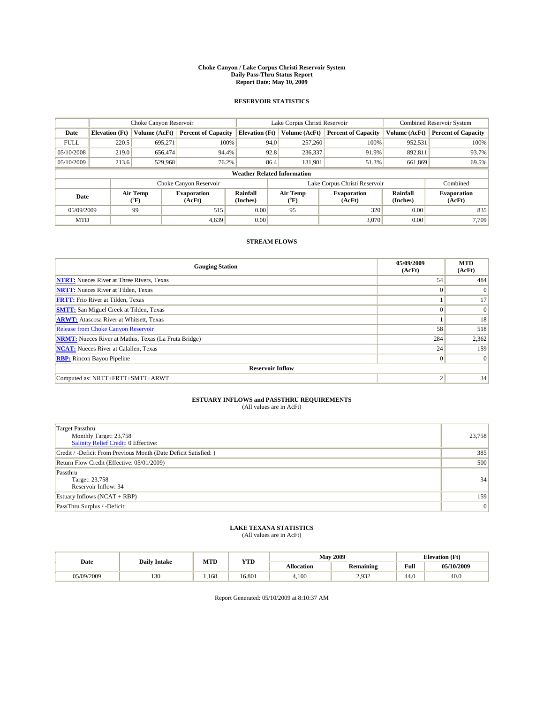#### **Choke Canyon / Lake Corpus Christi Reservoir System Daily Pass-Thru Status Report Report Date: May 10, 2009**

### **RESERVOIR STATISTICS**

|             | Choke Canyon Reservoir             |                                           |                              |                             | Lake Corpus Christi Reservoir | Combined Reservoir System     |                      |                              |  |
|-------------|------------------------------------|-------------------------------------------|------------------------------|-----------------------------|-------------------------------|-------------------------------|----------------------|------------------------------|--|
| Date        | <b>Elevation</b> (Ft)              | Volume (AcFt)                             | <b>Percent of Capacity</b>   | <b>Elevation</b> (Ft)       | Volume (AcFt)                 | <b>Percent of Capacity</b>    | Volume (AcFt)        | <b>Percent of Capacity</b>   |  |
| <b>FULL</b> | 220.5                              | 695,271                                   | 100%                         | 94.0                        | 257,260                       | 100%                          | 952,531              | 100%                         |  |
| 05/10/2008  | 219.0                              | 656,474                                   | 94.4%                        | 92.8                        | 236,337                       | 91.9%                         | 892,811              | 93.7%                        |  |
| 05/10/2009  | 213.6                              | 529,968                                   | 76.2%                        | 86.4                        | 131,901                       | 51.3%                         | 661,869              | 69.5%                        |  |
|             | <b>Weather Related Information</b> |                                           |                              |                             |                               |                               |                      |                              |  |
|             |                                    |                                           | Choke Canyon Reservoir       |                             |                               | Lake Corpus Christi Reservoir |                      | Combined                     |  |
| Date        |                                    | Air Temp<br>$({}^{\mathrm{o}}\mathrm{F})$ | <b>Evaporation</b><br>(AcFt) | <b>Rainfall</b><br>(Inches) | Air Temp<br>("F)              | <b>Evaporation</b><br>(AcFt)  | Rainfall<br>(Inches) | <b>Evaporation</b><br>(AcFt) |  |
| 05/09/2009  |                                    | 99                                        | 515                          | 0.00                        | 95                            | 320                           | 0.00                 | 835                          |  |
| <b>MTD</b>  |                                    |                                           | 4.639                        | 0.00                        |                               | 3.070                         | 0.00                 | 7.709                        |  |

## **STREAM FLOWS**

| <b>Gauging Station</b>                                       | 05/09/2009<br>(AcFt) | <b>MTD</b><br>(AcFt) |  |  |  |  |  |
|--------------------------------------------------------------|----------------------|----------------------|--|--|--|--|--|
| <b>NTRT:</b> Nueces River at Three Rivers, Texas             | 54                   | 484                  |  |  |  |  |  |
| <b>NRTT:</b> Nueces River at Tilden, Texas                   | $\Omega$             | $\Omega$             |  |  |  |  |  |
| <b>FRTT:</b> Frio River at Tilden, Texas                     |                      | 17                   |  |  |  |  |  |
| <b>SMTT:</b> San Miguel Creek at Tilden, Texas               | $\theta$             | $\vert 0 \vert$      |  |  |  |  |  |
| <b>ARWT:</b> Atascosa River at Whitsett, Texas               |                      | 18                   |  |  |  |  |  |
| <b>Release from Choke Canyon Reservoir</b>                   | 58                   | 518                  |  |  |  |  |  |
| <b>NRMT:</b> Nueces River at Mathis, Texas (La Fruta Bridge) | 284                  | 2,362                |  |  |  |  |  |
| <b>NCAT:</b> Nueces River at Calallen, Texas                 | 24                   | 159                  |  |  |  |  |  |
| <b>RBP:</b> Rincon Bayou Pipeline                            | $\mathbf{0}$         | 0                    |  |  |  |  |  |
| <b>Reservoir Inflow</b>                                      |                      |                      |  |  |  |  |  |
| Computed as: NRTT+FRTT+SMTT+ARWT                             |                      | 34                   |  |  |  |  |  |

# **ESTUARY INFLOWS and PASSTHRU REQUIREMENTS**<br>(All values are in AcFt)

| <b>Target Passthru</b><br>Monthly Target: 23,758<br>Salinity Relief Credit: 0 Effective: | 23,758 |
|------------------------------------------------------------------------------------------|--------|
| Credit / -Deficit From Previous Month (Date Deficit Satisfied: )                         | 385    |
| Return Flow Credit (Effective: 05/01/2009)                                               | 500    |
| Passthru<br>Target: 23,758<br>Reservoir Inflow: 34                                       | 34     |
| Estuary Inflows $(NCAT + RBP)$                                                           | 159    |
| PassThru Surplus / -Deficit:                                                             | 0      |

## **LAKE TEXANA STATISTICS** (All values are in AcFt)

|            | <b>Daily Intake</b> | MTD  | <b>YTD</b> |            | <b>May 2009</b>  | <b>Elevation</b> (Ft)                       |            |
|------------|---------------------|------|------------|------------|------------------|---------------------------------------------|------------|
| Date       |                     |      |            | Allocation | <b>Remaining</b> | Full<br>the contract of the contract of the | 05/10/2009 |
| 05/09/2009 | $\sim$<br>1 J U     | .168 | 16.801     | 4.100      | 1032<br>ے دری    | 44.0                                        | 40.0       |

Report Generated: 05/10/2009 at 8:10:37 AM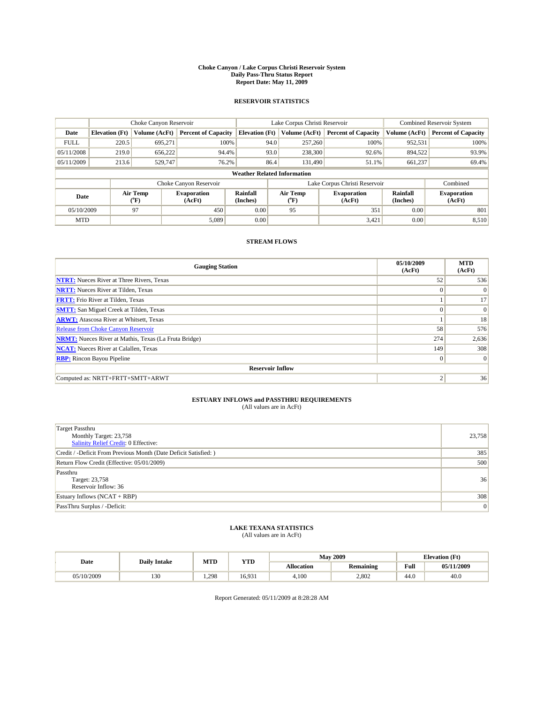#### **Choke Canyon / Lake Corpus Christi Reservoir System Daily Pass-Thru Status Report Report Date: May 11, 2009**

### **RESERVOIR STATISTICS**

|             | Choke Canyon Reservoir             |                  |                              |                       | Lake Corpus Christi Reservoir | <b>Combined Reservoir System</b> |                      |                              |  |  |
|-------------|------------------------------------|------------------|------------------------------|-----------------------|-------------------------------|----------------------------------|----------------------|------------------------------|--|--|
| Date        | <b>Elevation</b> (Ft)              | Volume (AcFt)    | <b>Percent of Capacity</b>   | <b>Elevation</b> (Ft) | Volume (AcFt)                 | <b>Percent of Capacity</b>       | Volume (AcFt)        | <b>Percent of Capacity</b>   |  |  |
| <b>FULL</b> | 220.5                              | 695,271          | 100%                         | 94.0                  | 257,260                       | 100%                             | 952,531              | 100%                         |  |  |
| 05/11/2008  | 219.0                              | 656,222          | 94.4%                        | 93.0                  | 238,300                       | 92.6%                            | 894,522              | 93.9%                        |  |  |
| 05/11/2009  | 213.6                              | 529,747          | 76.2%                        | 86.4                  | 131.490                       | 51.1%                            | 661,237              | 69.4%                        |  |  |
|             | <b>Weather Related Information</b> |                  |                              |                       |                               |                                  |                      |                              |  |  |
|             |                                    |                  | Choke Canyon Reservoir       |                       |                               | Lake Corpus Christi Reservoir    |                      | Combined                     |  |  |
| Date        |                                    | Air Temp<br>(°F) | <b>Evaporation</b><br>(AcFt) | Rainfall<br>(Inches)  | Air Temp<br>("F)              | <b>Evaporation</b><br>(AcFt)     | Rainfall<br>(Inches) | <b>Evaporation</b><br>(AcFt) |  |  |
| 05/10/2009  |                                    | 97               | 450                          | 0.00                  | 95                            | 351                              | 0.00                 | 801                          |  |  |
| <b>MTD</b>  |                                    |                  | 5.089                        | 0.00                  |                               | 3,421                            | 0.00                 | 8,510                        |  |  |

## **STREAM FLOWS**

| <b>Gauging Station</b>                                       | 05/10/2009<br>(AcFt) | <b>MTD</b><br>(AcFt) |  |  |  |  |  |
|--------------------------------------------------------------|----------------------|----------------------|--|--|--|--|--|
| <b>NTRT:</b> Nueces River at Three Rivers, Texas             | 52                   | 536                  |  |  |  |  |  |
| <b>NRTT:</b> Nueces River at Tilden, Texas                   | $\theta$             | $\Omega$             |  |  |  |  |  |
| <b>FRTT:</b> Frio River at Tilden, Texas                     |                      | 17                   |  |  |  |  |  |
| <b>SMTT:</b> San Miguel Creek at Tilden, Texas               | $\theta$             | $\vert 0 \vert$      |  |  |  |  |  |
| <b>ARWT:</b> Atascosa River at Whitsett, Texas               |                      | 18                   |  |  |  |  |  |
| <b>Release from Choke Canyon Reservoir</b>                   | 58                   | 576                  |  |  |  |  |  |
| <b>NRMT:</b> Nueces River at Mathis, Texas (La Fruta Bridge) | 274                  | 2,636                |  |  |  |  |  |
| <b>NCAT:</b> Nueces River at Calallen, Texas                 | 149                  | 308                  |  |  |  |  |  |
| <b>RBP:</b> Rincon Bayou Pipeline                            | $\Omega$             | $\vert$ 0            |  |  |  |  |  |
| <b>Reservoir Inflow</b>                                      |                      |                      |  |  |  |  |  |
| Computed as: NRTT+FRTT+SMTT+ARWT                             | $\overline{2}$       | 36                   |  |  |  |  |  |

# **ESTUARY INFLOWS and PASSTHRU REQUIREMENTS**<br>(All values are in AcFt)

| <b>Target Passthru</b><br>Monthly Target: 23,758<br>Salinity Relief Credit: 0 Effective: | 23,758 |
|------------------------------------------------------------------------------------------|--------|
| Credit / -Deficit From Previous Month (Date Deficit Satisfied: )                         | 385    |
| Return Flow Credit (Effective: 05/01/2009)                                               | 500    |
| Passthru<br>Target: 23,758<br>Reservoir Inflow: 36                                       | 36     |
| Estuary Inflows $(NCAT + RBP)$                                                           | 308    |
| PassThru Surplus / -Deficit:                                                             | 0      |

## **LAKE TEXANA STATISTICS** (All values are in AcFt)

|            | <b>Daily Intake</b> | MTD  | <b>YTD</b> |                   | <b>May 2009</b>  | <b>Elevation</b> (Ft)                       |            |
|------------|---------------------|------|------------|-------------------|------------------|---------------------------------------------|------------|
| Date       |                     |      |            | <b>Allocation</b> | <b>Remaining</b> | Full<br>the contract of the contract of the | 05/11/2009 |
| 05/10/2009 | 130                 | .298 | 16.931     | 4,100             | 2.802            | 44.0                                        | 40.0       |

Report Generated: 05/11/2009 at 8:28:28 AM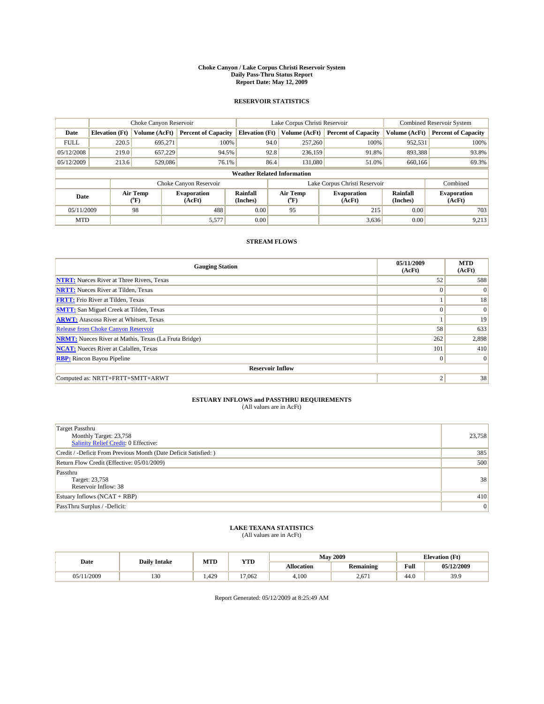#### **Choke Canyon / Lake Corpus Christi Reservoir System Daily Pass-Thru Status Report Report Date: May 12, 2009**

### **RESERVOIR STATISTICS**

|             |                                    | Choke Canyon Reservoir |                              |                             | Lake Corpus Christi Reservoir | <b>Combined Reservoir System</b> |                      |                              |  |
|-------------|------------------------------------|------------------------|------------------------------|-----------------------------|-------------------------------|----------------------------------|----------------------|------------------------------|--|
| Date        | <b>Elevation</b> (Ft)              | Volume (AcFt)          | <b>Percent of Capacity</b>   | <b>Elevation (Ft)</b>       | Volume (AcFt)                 | <b>Percent of Capacity</b>       | Volume (AcFt)        | <b>Percent of Capacity</b>   |  |
| <b>FULL</b> | 220.5                              | 695,271                | 100%                         | 94.0                        | 257,260                       | 100%                             | 952,531              | 100%                         |  |
| 05/12/2008  | 219.0                              | 657,229                | 94.5%                        |                             | 92.8<br>236,159               | 91.8%                            | 893,388              | 93.8%                        |  |
| 05/12/2009  | 213.6                              | 529,086                | 76.1%                        | 86.4                        | 131.080                       | 51.0%                            | 660,166              | 69.3%                        |  |
|             | <b>Weather Related Information</b> |                        |                              |                             |                               |                                  |                      |                              |  |
|             |                                    |                        | Choke Canyon Reservoir       |                             |                               | Lake Corpus Christi Reservoir    |                      | Combined                     |  |
| Date        |                                    | Air Temp<br>(°F)       | <b>Evaporation</b><br>(AcFt) | <b>Rainfall</b><br>(Inches) | Air Temp<br>(°F)              | <b>Evaporation</b><br>(AcFt)     | Rainfall<br>(Inches) | <b>Evaporation</b><br>(AcFt) |  |
| 05/11/2009  |                                    | 98                     | 488                          | 0.00                        | 95                            | 215                              | 0.00                 | 703                          |  |
| <b>MTD</b>  |                                    |                        | 5,577                        | 0.00                        |                               | 3,636                            | 0.00                 | 9,213                        |  |

## **STREAM FLOWS**

| <b>Gauging Station</b>                                       | 05/11/2009<br>(AcFt) | <b>MTD</b><br>(AcFt) |  |  |  |  |  |
|--------------------------------------------------------------|----------------------|----------------------|--|--|--|--|--|
| <b>NTRT:</b> Nueces River at Three Rivers, Texas             | 52                   | 588                  |  |  |  |  |  |
| <b>NRTT:</b> Nueces River at Tilden, Texas                   | $\Omega$             | $\Omega$             |  |  |  |  |  |
| <b>FRTT:</b> Frio River at Tilden, Texas                     |                      | 18                   |  |  |  |  |  |
| <b>SMTT:</b> San Miguel Creek at Tilden, Texas               | $\Omega$             | $\Omega$             |  |  |  |  |  |
| <b>ARWT:</b> Atascosa River at Whitsett, Texas               |                      | 19                   |  |  |  |  |  |
| Release from Choke Canyon Reservoir                          | 58                   | 633                  |  |  |  |  |  |
| <b>NRMT:</b> Nueces River at Mathis, Texas (La Fruta Bridge) | 262                  | 2,898                |  |  |  |  |  |
| <b>NCAT:</b> Nueces River at Calallen, Texas                 | 101                  | 410                  |  |  |  |  |  |
| <b>RBP:</b> Rincon Bayou Pipeline                            | $\overline{0}$       | $\Omega$             |  |  |  |  |  |
| <b>Reservoir Inflow</b>                                      |                      |                      |  |  |  |  |  |
| Computed as: NRTT+FRTT+SMTT+ARWT                             | 2                    | 38                   |  |  |  |  |  |

# **ESTUARY INFLOWS and PASSTHRU REQUIREMENTS**<br>(All values are in AcFt)

| <b>Target Passthru</b><br>Monthly Target: 23,758<br>Salinity Relief Credit: 0 Effective: | 23,758 |
|------------------------------------------------------------------------------------------|--------|
| Credit / -Deficit From Previous Month (Date Deficit Satisfied: )                         | 385    |
| Return Flow Credit (Effective: 05/01/2009)                                               | 500    |
| Passthru<br>Target: 23,758<br>Reservoir Inflow: 38                                       | 38     |
| Estuary Inflows $(NCAT + RBP)$                                                           | 410    |
| PassThru Surplus / -Deficit:                                                             | 0      |

## **LAKE TEXANA STATISTICS** (All values are in AcFt)

| Date  | <b>Daily Intake</b> | MTD  | YTD    |                   | <b>May 2009</b>  | <b>Elevation</b> (Ft) |            |
|-------|---------------------|------|--------|-------------------|------------------|-----------------------|------------|
|       |                     |      |        | <b>Allocation</b> | <b>Remaining</b> | Full                  | 05/12/2009 |
| /2009 | $\sim$<br>15U       | .429 | 17,062 | 4.100             | 2.67             | 44.0                  | 39.9       |

Report Generated: 05/12/2009 at 8:25:49 AM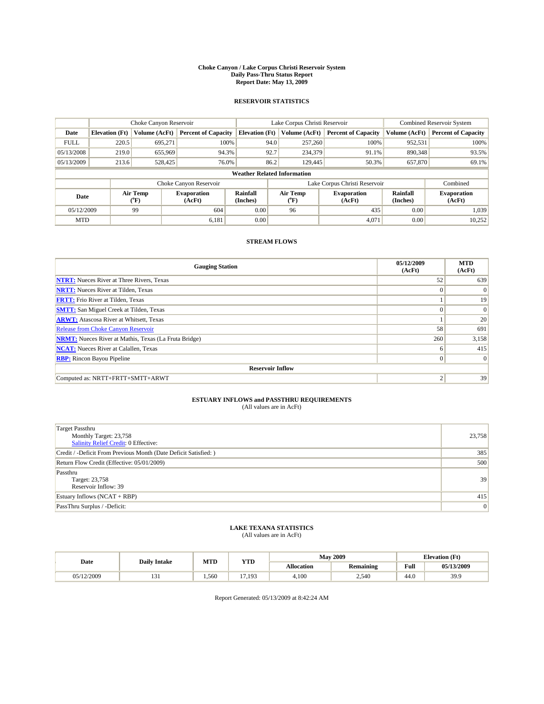#### **Choke Canyon / Lake Corpus Christi Reservoir System Daily Pass-Thru Status Report Report Date: May 13, 2009**

### **RESERVOIR STATISTICS**

|             | Choke Canyon Reservoir             |                  |                              |                       | Lake Corpus Christi Reservoir | <b>Combined Reservoir System</b> |                      |                              |  |  |
|-------------|------------------------------------|------------------|------------------------------|-----------------------|-------------------------------|----------------------------------|----------------------|------------------------------|--|--|
| Date        | <b>Elevation</b> (Ft)              | Volume (AcFt)    | <b>Percent of Capacity</b>   | <b>Elevation</b> (Ft) | Volume (AcFt)                 | <b>Percent of Capacity</b>       | Volume (AcFt)        | <b>Percent of Capacity</b>   |  |  |
| <b>FULL</b> | 220.5                              | 695,271          | 100%                         | 94.0                  | 257,260                       | 100%                             | 952,531              | 100%                         |  |  |
| 05/13/2008  | 219.0                              | 655,969          | 94.3%                        | 92.7                  | 234,379                       | 91.1%                            | 890,348              | 93.5%                        |  |  |
| 05/13/2009  | 213.6                              | 528,425          | 76.0%                        | 86.2                  | 129,445                       | 50.3%                            | 657,870              | 69.1%                        |  |  |
|             | <b>Weather Related Information</b> |                  |                              |                       |                               |                                  |                      |                              |  |  |
|             |                                    |                  | Choke Canyon Reservoir       |                       |                               | Lake Corpus Christi Reservoir    |                      | Combined                     |  |  |
| Date        |                                    | Air Temp<br>(°F) | <b>Evaporation</b><br>(AcFt) | Rainfall<br>(Inches)  | Air Temp<br>("F)              | <b>Evaporation</b><br>(AcFt)     | Rainfall<br>(Inches) | <b>Evaporation</b><br>(AcFt) |  |  |
| 05/12/2009  |                                    | 99               | 604                          | 0.00                  | 96                            | 435                              | 0.00                 | 1.039                        |  |  |
| <b>MTD</b>  |                                    |                  | 6.181                        | 0.00                  |                               | 4.071                            | 0.00                 | 10,252                       |  |  |

## **STREAM FLOWS**

| <b>Gauging Station</b>                                       | 05/12/2009<br>(AcFt) | <b>MTD</b><br>(AcFt) |  |  |  |  |  |
|--------------------------------------------------------------|----------------------|----------------------|--|--|--|--|--|
| <b>NTRT:</b> Nueces River at Three Rivers, Texas             | 52                   | 639                  |  |  |  |  |  |
| <b>NRTT:</b> Nueces River at Tilden, Texas                   | $\theta$             | $\Omega$             |  |  |  |  |  |
| <b>FRTT:</b> Frio River at Tilden, Texas                     |                      | 19                   |  |  |  |  |  |
| <b>SMTT:</b> San Miguel Creek at Tilden, Texas               | $\theta$             | $\vert 0 \vert$      |  |  |  |  |  |
| <b>ARWT:</b> Atascosa River at Whitsett, Texas               |                      | 20                   |  |  |  |  |  |
| Release from Choke Canyon Reservoir                          | 58                   | 691                  |  |  |  |  |  |
| <b>NRMT:</b> Nueces River at Mathis, Texas (La Fruta Bridge) | 260                  | 3,158                |  |  |  |  |  |
| <b>NCAT:</b> Nueces River at Calallen, Texas                 | 6                    | 415                  |  |  |  |  |  |
| <b>RBP:</b> Rincon Bayou Pipeline                            | $\mathbf{0}$         | $\vert$ 0            |  |  |  |  |  |
| <b>Reservoir Inflow</b>                                      |                      |                      |  |  |  |  |  |
| Computed as: NRTT+FRTT+SMTT+ARWT                             |                      | 39                   |  |  |  |  |  |

# **ESTUARY INFLOWS and PASSTHRU REQUIREMENTS**<br>(All values are in AcFt)

| Target Passthru<br>Monthly Target: 23,758<br>Salinity Relief Credit: 0 Effective: | 23,758 |
|-----------------------------------------------------------------------------------|--------|
| Credit / -Deficit From Previous Month (Date Deficit Satisfied: )                  | 385    |
| Return Flow Credit (Effective: 05/01/2009)                                        | 500    |
| Passthru<br>Target: 23,758<br>Reservoir Inflow: 39                                | 39     |
| Estuary Inflows (NCAT + RBP)                                                      | 415    |
| PassThru Surplus / -Deficit:                                                      | 0      |

## **LAKE TEXANA STATISTICS** (All values are in AcFt)

|            | <b>Daily Intake</b> | MTD  | YTD         |            | <b>May 2009</b>  | <b>Elevation</b> (Ft) |            |
|------------|---------------------|------|-------------|------------|------------------|-----------------------|------------|
| Date       |                     |      |             | Allocation | <b>Remaining</b> | Full                  | 05/13/2009 |
| 05/12/2009 | 1 J 1               | .560 | $-$<br>.193 | 4.100      | 540<br>2.70      | 44.0                  | 39.9       |

Report Generated: 05/13/2009 at 8:42:24 AM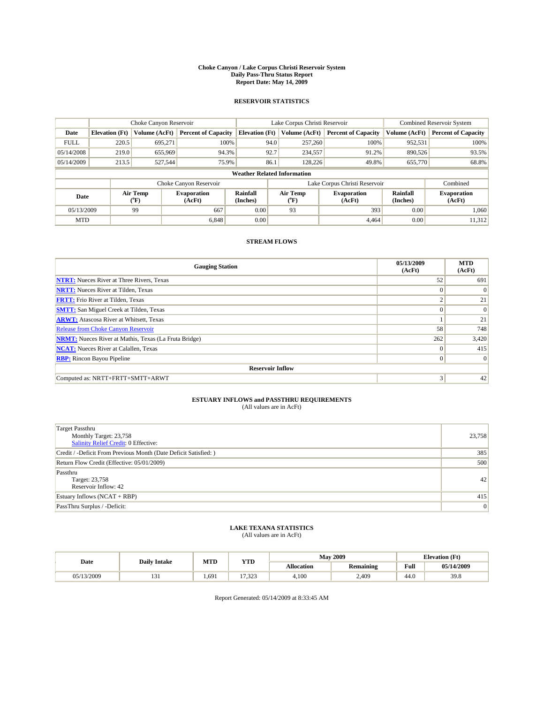#### **Choke Canyon / Lake Corpus Christi Reservoir System Daily Pass-Thru Status Report Report Date: May 14, 2009**

### **RESERVOIR STATISTICS**

|             | Choke Canyon Reservoir             |                  |                              |                       | Lake Corpus Christi Reservoir | <b>Combined Reservoir System</b> |                      |                              |  |  |
|-------------|------------------------------------|------------------|------------------------------|-----------------------|-------------------------------|----------------------------------|----------------------|------------------------------|--|--|
| Date        | <b>Elevation</b> (Ft)              | Volume (AcFt)    | <b>Percent of Capacity</b>   | <b>Elevation</b> (Ft) | Volume (AcFt)                 | <b>Percent of Capacity</b>       | Volume (AcFt)        | <b>Percent of Capacity</b>   |  |  |
| <b>FULL</b> | 220.5                              | 695,271          | 100%                         | 94.0                  | 257,260                       | 100%                             | 952,531              | 100%                         |  |  |
| 05/14/2008  | 219.0                              | 655,969          | 94.3%                        | 92.7                  | 234,557                       | 91.2%                            | 890,526              | 93.5%                        |  |  |
| 05/14/2009  | 213.5                              | 527,544          | 75.9%                        | 86.1                  | 128,226                       | 49.8%                            | 655,770              | 68.8%                        |  |  |
|             | <b>Weather Related Information</b> |                  |                              |                       |                               |                                  |                      |                              |  |  |
|             |                                    |                  | Choke Canyon Reservoir       |                       |                               | Lake Corpus Christi Reservoir    |                      | Combined                     |  |  |
| Date        |                                    | Air Temp<br>(°F) | <b>Evaporation</b><br>(AcFt) | Rainfall<br>(Inches)  | Air Temp<br>("F)              | <b>Evaporation</b><br>(AcFt)     | Rainfall<br>(Inches) | <b>Evaporation</b><br>(AcFt) |  |  |
| 05/13/2009  |                                    | 99               | 667                          | 0.00                  | 93                            | 393                              | 0.00                 | 1.060                        |  |  |
| <b>MTD</b>  |                                    |                  | 6.848                        | 0.00                  |                               | 4.464                            | 0.00                 | 11,312                       |  |  |

## **STREAM FLOWS**

| <b>Gauging Station</b>                                       | 05/13/2009<br>(AcFt) | <b>MTD</b><br>(AcFt) |  |  |  |  |  |
|--------------------------------------------------------------|----------------------|----------------------|--|--|--|--|--|
| <b>NTRT:</b> Nueces River at Three Rivers, Texas             | 52                   | 691                  |  |  |  |  |  |
| <b>NRTT:</b> Nueces River at Tilden, Texas                   | $\theta$             | $\Omega$             |  |  |  |  |  |
| <b>FRTT:</b> Frio River at Tilden, Texas                     | $\sim$               | 21                   |  |  |  |  |  |
| <b>SMTT:</b> San Miguel Creek at Tilden, Texas               | $\theta$             | $\Omega$             |  |  |  |  |  |
| <b>ARWT:</b> Atascosa River at Whitsett, Texas               |                      | 21                   |  |  |  |  |  |
| <b>Release from Choke Canyon Reservoir</b>                   | 58                   | 748                  |  |  |  |  |  |
| <b>NRMT:</b> Nueces River at Mathis, Texas (La Fruta Bridge) | 262                  | 3,420                |  |  |  |  |  |
| <b>NCAT:</b> Nueces River at Calallen, Texas                 | $\theta$             | 415                  |  |  |  |  |  |
| <b>RBP:</b> Rincon Bayou Pipeline                            | $\mathbf{0}$         | $\vert$ 0            |  |  |  |  |  |
| <b>Reservoir Inflow</b>                                      |                      |                      |  |  |  |  |  |
| Computed as: NRTT+FRTT+SMTT+ARWT                             | 3                    | 42                   |  |  |  |  |  |

# **ESTUARY INFLOWS and PASSTHRU REQUIREMENTS**<br>(All values are in AcFt)

| <b>Target Passthru</b><br>Monthly Target: 23,758<br>Salinity Relief Credit: 0 Effective: | 23,758 |
|------------------------------------------------------------------------------------------|--------|
| Credit / -Deficit From Previous Month (Date Deficit Satisfied: )                         | 385    |
| Return Flow Credit (Effective: 05/01/2009)                                               | 500    |
| Passthru<br>Target: 23,758<br>Reservoir Inflow: 42                                       | 42     |
| Estuary Inflows $(NCAT + RBP)$                                                           | 415    |
| PassThru Surplus / -Deficit:                                                             | 0      |

## **LAKE TEXANA STATISTICS** (All values are in AcFt)

| Date       | <b>Daily Intake</b> | MTD  | <b>YTD</b>      |                   | <b>May 2009</b>  | <b>Elevation</b> (Ft) |            |
|------------|---------------------|------|-----------------|-------------------|------------------|-----------------------|------------|
|            |                     |      |                 | <b>Allocation</b> | <b>Remaining</b> | Full                  | 05/14/2009 |
| 05/13/2009 | 1J 1                | .691 | 222<br>د ے د. ا | 4.100             | 2,409            | 44.0                  | 39.8       |

Report Generated: 05/14/2009 at 8:33:45 AM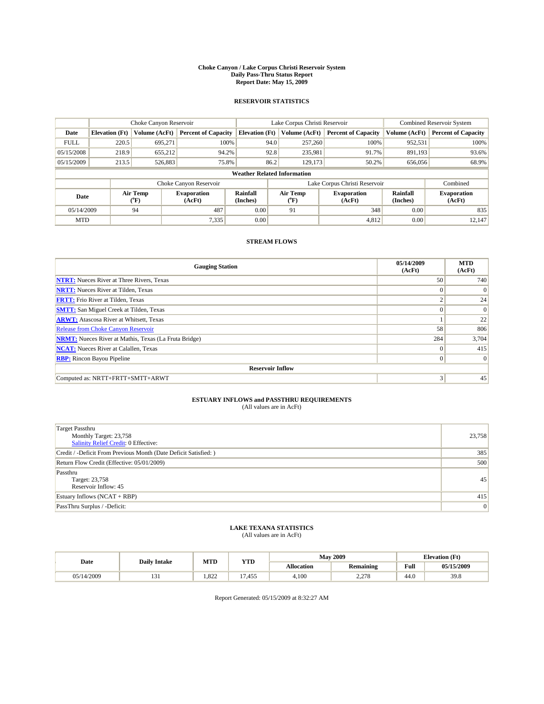#### **Choke Canyon / Lake Corpus Christi Reservoir System Daily Pass-Thru Status Report Report Date: May 15, 2009**

### **RESERVOIR STATISTICS**

|             | Choke Canyon Reservoir             |                  |                              |                             | Lake Corpus Christi Reservoir | Combined Reservoir System     |                      |                              |  |  |
|-------------|------------------------------------|------------------|------------------------------|-----------------------------|-------------------------------|-------------------------------|----------------------|------------------------------|--|--|
| Date        | <b>Elevation</b> (Ft)              | Volume (AcFt)    | <b>Percent of Capacity</b>   | <b>Elevation</b> (Ft)       | Volume (AcFt)                 | <b>Percent of Capacity</b>    | Volume (AcFt)        | <b>Percent of Capacity</b>   |  |  |
| <b>FULL</b> | 220.5                              | 695,271          | 100%                         | 94.0                        | 257,260                       | 100%                          | 952,531              | 100%                         |  |  |
| 05/15/2008  | 218.9                              | 655,212          | 94.2%                        | 92.8                        | 235,981                       | 91.7%                         | 891,193              | 93.6%                        |  |  |
| 05/15/2009  | 213.5                              | 526,883          | 75.8%                        | 86.2                        | 129,173                       | 50.2%                         | 656,056              | 68.9%                        |  |  |
|             | <b>Weather Related Information</b> |                  |                              |                             |                               |                               |                      |                              |  |  |
|             |                                    |                  | Choke Canyon Reservoir       |                             |                               | Lake Corpus Christi Reservoir |                      | Combined                     |  |  |
| Date        |                                    | Air Temp<br>(°F) | <b>Evaporation</b><br>(AcFt) | <b>Rainfall</b><br>(Inches) | Air Temp<br>(°F)              | <b>Evaporation</b><br>(AcFt)  | Rainfall<br>(Inches) | <b>Evaporation</b><br>(AcFt) |  |  |
| 05/14/2009  |                                    | 94               | 487                          | 0.00                        | 91                            | 348                           | 0.00                 | 835                          |  |  |
| <b>MTD</b>  |                                    |                  | 7,335                        | 0.00                        |                               | 4,812                         | 0.00                 | 12.147                       |  |  |

## **STREAM FLOWS**

| <b>Gauging Station</b>                                       | 05/14/2009<br>(AcFt) | <b>MTD</b><br>(AcFt) |  |  |  |  |  |
|--------------------------------------------------------------|----------------------|----------------------|--|--|--|--|--|
| <b>NTRT:</b> Nueces River at Three Rivers, Texas             | 50                   | 740                  |  |  |  |  |  |
| <b>NRTT:</b> Nueces River at Tilden, Texas                   | $\Omega$             | $\Omega$             |  |  |  |  |  |
| <b>FRTT:</b> Frio River at Tilden, Texas                     | $\sim$               | 24                   |  |  |  |  |  |
| <b>SMTT:</b> San Miguel Creek at Tilden, Texas               | $\Omega$             | $\Omega$             |  |  |  |  |  |
| <b>ARWT:</b> Atascosa River at Whitsett, Texas               |                      | 22                   |  |  |  |  |  |
| Release from Choke Canyon Reservoir                          | 58                   | 806                  |  |  |  |  |  |
| <b>NRMT:</b> Nueces River at Mathis, Texas (La Fruta Bridge) | 284                  | 3,704                |  |  |  |  |  |
| <b>NCAT:</b> Nueces River at Calallen, Texas                 | $\Omega$             | 415                  |  |  |  |  |  |
| <b>RBP:</b> Rincon Bayou Pipeline                            | $\vert 0 \vert$      | $\Omega$             |  |  |  |  |  |
| <b>Reservoir Inflow</b>                                      |                      |                      |  |  |  |  |  |
| Computed as: NRTT+FRTT+SMTT+ARWT                             | 3                    | 45                   |  |  |  |  |  |

# **ESTUARY INFLOWS and PASSTHRU REQUIREMENTS**<br>(All values are in AcFt)

| Target Passthru<br>Monthly Target: 23,758<br>Salinity Relief Credit: 0 Effective: | 23,758 |
|-----------------------------------------------------------------------------------|--------|
| Credit / -Deficit From Previous Month (Date Deficit Satisfied: )                  | 385    |
| Return Flow Credit (Effective: 05/01/2009)                                        | 500    |
| Passthru<br>Target: 23,758<br>Reservoir Inflow: 45                                | 45     |
| Estuary Inflows $(NCAT + RBP)$                                                    | 415    |
| PassThru Surplus / -Deficit:                                                      | 0      |

# **LAKE TEXANA STATISTICS** (All values are in AcFt)

|            | <b>Daily Intake</b> | MTD   | <b>YTD</b> |                   | <b>May 2009</b>                    | <b>Elevation</b> (Ft)                       |            |
|------------|---------------------|-------|------------|-------------------|------------------------------------|---------------------------------------------|------------|
| Date       |                     |       |            | <b>Allocation</b> | <b>Remaining</b>                   | Full<br>the contract of the contract of the | 05/15/2009 |
| 05/14/2009 | $\sim$<br>1 J 1     | 1.822 | 1.455      | 4.100             | 270<br>$\sim$ $\sim$ $\sim$ $\sim$ | 44.0                                        | 39.8       |

Report Generated: 05/15/2009 at 8:32:27 AM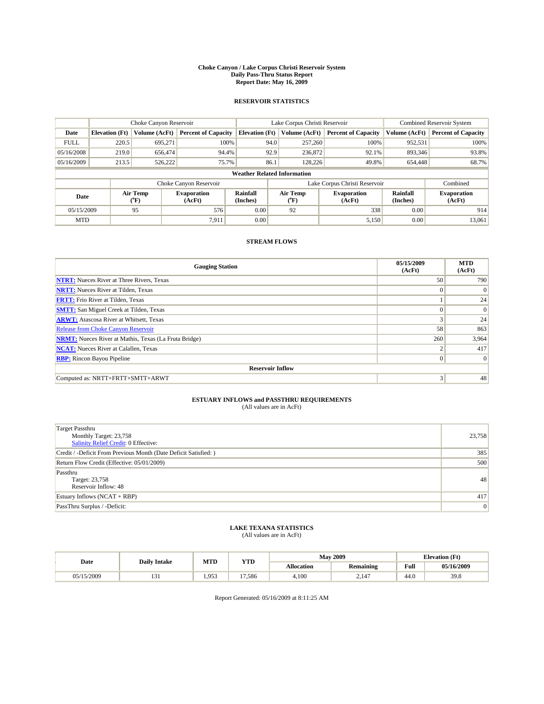#### **Choke Canyon / Lake Corpus Christi Reservoir System Daily Pass-Thru Status Report Report Date: May 16, 2009**

### **RESERVOIR STATISTICS**

|             | Choke Canyon Reservoir             |                  |                              |                             | Lake Corpus Christi Reservoir | Combined Reservoir System     |                      |                              |  |
|-------------|------------------------------------|------------------|------------------------------|-----------------------------|-------------------------------|-------------------------------|----------------------|------------------------------|--|
| Date        | <b>Elevation</b> (Ft)              | Volume (AcFt)    | <b>Percent of Capacity</b>   | <b>Elevation</b> (Ft)       | Volume (AcFt)                 | <b>Percent of Capacity</b>    | Volume (AcFt)        | <b>Percent of Capacity</b>   |  |
| <b>FULL</b> | 220.5                              | 695,271          | 100%                         | 94.0                        | 257,260                       | 100%                          | 952,531              | 100%                         |  |
| 05/16/2008  | 219.0                              | 656,474          | 94.4%                        | 92.9                        | 236,872                       | 92.1%                         | 893,346              | 93.8%                        |  |
| 05/16/2009  | 213.5                              | 526,222          | 75.7%                        | 86.1                        | 128,226                       | 49.8%                         | 654,448              | 68.7%                        |  |
|             | <b>Weather Related Information</b> |                  |                              |                             |                               |                               |                      |                              |  |
|             |                                    |                  | Choke Canyon Reservoir       |                             |                               | Lake Corpus Christi Reservoir |                      | Combined                     |  |
| Date        |                                    | Air Temp<br>(°F) | <b>Evaporation</b><br>(AcFt) | <b>Rainfall</b><br>(Inches) | Air Temp<br>(°F)              | <b>Evaporation</b><br>(AcFt)  | Rainfall<br>(Inches) | <b>Evaporation</b><br>(AcFt) |  |
| 05/15/2009  |                                    | 95               | 576                          | 0.00                        | 92                            | 338                           | 0.00                 | 914                          |  |
| <b>MTD</b>  |                                    |                  | 7.911                        | 0.00                        |                               | 5,150                         | 0.00                 | 13,061                       |  |

## **STREAM FLOWS**

| <b>Gauging Station</b>                                       | 05/15/2009<br>(AcFt) | <b>MTD</b><br>(AcFt) |  |  |  |  |  |
|--------------------------------------------------------------|----------------------|----------------------|--|--|--|--|--|
| <b>NTRT:</b> Nueces River at Three Rivers, Texas             | 50                   | 790                  |  |  |  |  |  |
| <b>NRTT:</b> Nueces River at Tilden, Texas                   | $\Omega$             | $\Omega$             |  |  |  |  |  |
| <b>FRTT:</b> Frio River at Tilden, Texas                     |                      | 24                   |  |  |  |  |  |
| <b>SMTT:</b> San Miguel Creek at Tilden, Texas               | $\Omega$             | $\Omega$             |  |  |  |  |  |
| <b>ARWT:</b> Atascosa River at Whitsett, Texas               | 3                    | 24                   |  |  |  |  |  |
| <b>Release from Choke Canyon Reservoir</b>                   | 58                   | 863                  |  |  |  |  |  |
| <b>NRMT:</b> Nueces River at Mathis, Texas (La Fruta Bridge) | 260                  | 3,964                |  |  |  |  |  |
| <b>NCAT:</b> Nueces River at Calallen, Texas                 | ◠                    | 417                  |  |  |  |  |  |
| <b>RBP:</b> Rincon Bayou Pipeline                            | $\vert 0 \vert$      | $\Omega$             |  |  |  |  |  |
| <b>Reservoir Inflow</b>                                      |                      |                      |  |  |  |  |  |
| Computed as: NRTT+FRTT+SMTT+ARWT                             | 3                    | 48                   |  |  |  |  |  |

# **ESTUARY INFLOWS and PASSTHRU REQUIREMENTS**<br>(All values are in AcFt)

| Target Passthru<br>Monthly Target: 23,758<br>Salinity Relief Credit: 0 Effective: | 23,758 |
|-----------------------------------------------------------------------------------|--------|
| Credit / -Deficit From Previous Month (Date Deficit Satisfied: )                  | 385    |
| Return Flow Credit (Effective: 05/01/2009)                                        | 500    |
| Passthru<br>Target: 23,758<br>Reservoir Inflow: 48                                | 48     |
| Estuary Inflows $(NCAT + RBP)$                                                    | 417    |
| PassThru Surplus / -Deficit:                                                      | 0      |

# **LAKE TEXANA STATISTICS** (All values are in AcFt)

| Date    | <b>Daily Intake</b> | MTD                        | <b>YTD</b>       |                   | <b>May 2009</b>  | <b>Elevation</b> (Ft) |            |
|---------|---------------------|----------------------------|------------------|-------------------|------------------|-----------------------|------------|
|         |                     |                            |                  | <b>Allocation</b> | <b>Remaining</b> | Full                  | 05/16/2009 |
| 15/2009 | 1J 1                | $Q5^{\circ}$<br>1. <i></i> | $\sim$<br>17.586 | 4,100             | 2.147            | 44.0                  | 39.8       |

Report Generated: 05/16/2009 at 8:11:25 AM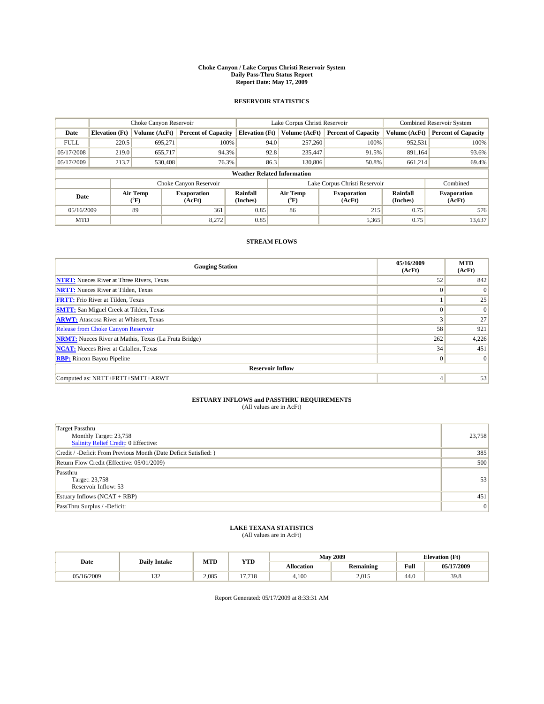#### **Choke Canyon / Lake Corpus Christi Reservoir System Daily Pass-Thru Status Report Report Date: May 17, 2009**

### **RESERVOIR STATISTICS**

|             | Choke Canyon Reservoir             |                                           |                              |                             | Lake Corpus Christi Reservoir | Combined Reservoir System     |                      |                              |  |
|-------------|------------------------------------|-------------------------------------------|------------------------------|-----------------------------|-------------------------------|-------------------------------|----------------------|------------------------------|--|
| Date        | <b>Elevation</b> (Ft)              | Volume (AcFt)                             | <b>Percent of Capacity</b>   | <b>Elevation</b> (Ft)       | Volume (AcFt)                 | <b>Percent of Capacity</b>    | Volume (AcFt)        | <b>Percent of Capacity</b>   |  |
| <b>FULL</b> | 220.5                              | 695,271                                   | 100%                         | 94.0                        | 257,260                       | 100%                          | 952,531              | 100%                         |  |
| 05/17/2008  | 219.0                              | 655,717                                   | 94.3%                        | 92.8                        | 235,447                       | 91.5%                         | 891,164              | 93.6%                        |  |
| 05/17/2009  | 213.7                              | 530,408                                   | 76.3%                        | 86.3                        | 130,806                       | 50.8%                         | 661,214              | 69.4%                        |  |
|             | <b>Weather Related Information</b> |                                           |                              |                             |                               |                               |                      |                              |  |
|             |                                    |                                           | Choke Canyon Reservoir       |                             |                               | Lake Corpus Christi Reservoir |                      | Combined                     |  |
| Date        |                                    | Air Temp<br>$({}^{\mathrm{o}}\mathrm{F})$ | <b>Evaporation</b><br>(AcFt) | <b>Rainfall</b><br>(Inches) | Air Temp<br>(°F)              | <b>Evaporation</b><br>(AcFt)  | Rainfall<br>(Inches) | <b>Evaporation</b><br>(AcFt) |  |
| 05/16/2009  |                                    | 89                                        | 361                          | 0.85                        | 86                            | 215                           | 0.75                 | 576                          |  |
| <b>MTD</b>  |                                    |                                           | 8,272                        | 0.85                        |                               | 5,365                         | 0.75                 | 13,637                       |  |

## **STREAM FLOWS**

| <b>Gauging Station</b>                                       | 05/16/2009<br>(AcFt) | <b>MTD</b><br>(AcFt) |  |  |  |  |  |
|--------------------------------------------------------------|----------------------|----------------------|--|--|--|--|--|
| <b>NTRT:</b> Nueces River at Three Rivers, Texas             | 52                   | 842                  |  |  |  |  |  |
| <b>NRTT:</b> Nueces River at Tilden, Texas                   | $\Omega$             | $\Omega$             |  |  |  |  |  |
| <b>FRTT:</b> Frio River at Tilden, Texas                     |                      | 25                   |  |  |  |  |  |
| <b>SMTT:</b> San Miguel Creek at Tilden, Texas               | $\Omega$             | $\Omega$             |  |  |  |  |  |
| <b>ARWT:</b> Atascosa River at Whitsett, Texas               | 3                    | 27                   |  |  |  |  |  |
| <b>Release from Choke Canyon Reservoir</b>                   | 58                   | 921                  |  |  |  |  |  |
| <b>NRMT:</b> Nueces River at Mathis, Texas (La Fruta Bridge) | 262                  | 4,226                |  |  |  |  |  |
| <b>NCAT:</b> Nueces River at Calallen, Texas                 | 34                   | 451                  |  |  |  |  |  |
| <b>RBP:</b> Rincon Bayou Pipeline                            | $\overline{0}$       | $\Omega$             |  |  |  |  |  |
| <b>Reservoir Inflow</b>                                      |                      |                      |  |  |  |  |  |
| Computed as: NRTT+FRTT+SMTT+ARWT                             | 4                    | 53                   |  |  |  |  |  |

# **ESTUARY INFLOWS and PASSTHRU REQUIREMENTS**<br>(All values are in AcFt)

| <b>Target Passthru</b><br>Monthly Target: 23,758<br>Salinity Relief Credit: 0 Effective: | 23,758 |
|------------------------------------------------------------------------------------------|--------|
| Credit / -Deficit From Previous Month (Date Deficit Satisfied: )                         | 385    |
| Return Flow Credit (Effective: 05/01/2009)                                               | 500    |
| Passthru<br>Target: 23,758<br>Reservoir Inflow: 53                                       | 53     |
| Estuary Inflows $(NCAT + RBP)$                                                           | 451    |
| PassThru Surplus / -Deficit:                                                             | 0      |

## **LAKE TEXANA STATISTICS** (All values are in AcFt)

|            | <b>Daily Intake</b> | MTD   | <b>YTD</b> |                   | <b>May 2009</b>  | <b>Elevation</b> (Ft)                       |            |
|------------|---------------------|-------|------------|-------------------|------------------|---------------------------------------------|------------|
| Date       |                     |       |            | <b>Allocation</b> | <b>Remaining</b> | Full<br>the contract of the contract of the | 05/17/2009 |
| 05/16/2009 | $\sim$<br>1 J 4     | 2.085 | 17.718     | 4.100             | 2.015            | 44.0                                        | 39.8       |

Report Generated: 05/17/2009 at 8:33:31 AM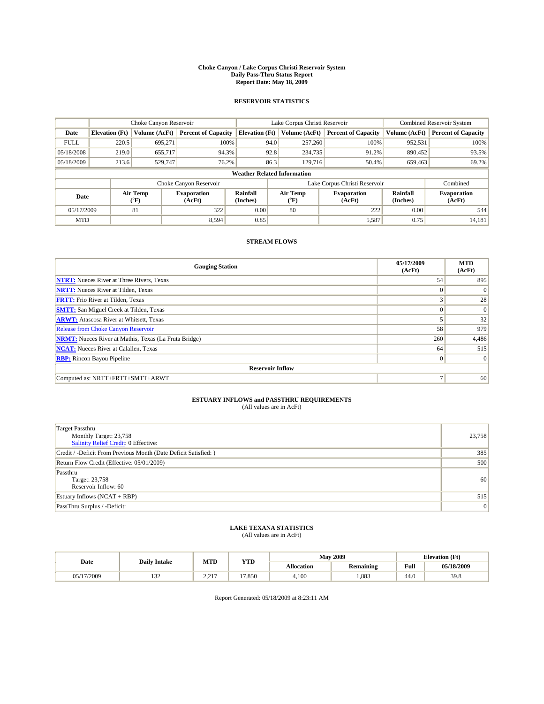#### **Choke Canyon / Lake Corpus Christi Reservoir System Daily Pass-Thru Status Report Report Date: May 18, 2009**

### **RESERVOIR STATISTICS**

|             | Choke Canyon Reservoir             |                  |                              |                       | Lake Corpus Christi Reservoir | <b>Combined Reservoir System</b> |                      |                              |  |
|-------------|------------------------------------|------------------|------------------------------|-----------------------|-------------------------------|----------------------------------|----------------------|------------------------------|--|
| Date        | <b>Elevation</b> (Ft)              | Volume (AcFt)    | <b>Percent of Capacity</b>   | <b>Elevation</b> (Ft) | Volume (AcFt)                 | <b>Percent of Capacity</b>       | Volume (AcFt)        | <b>Percent of Capacity</b>   |  |
| <b>FULL</b> | 220.5                              | 695,271          | 100%                         | 94.0                  | 257,260                       | 100%                             | 952,531              | 100%                         |  |
| 05/18/2008  | 219.0                              | 655,717          | 94.3%                        | 92.8                  | 234,735                       | 91.2%                            | 890,452              | 93.5%                        |  |
| 05/18/2009  | 213.6                              | 529,747          | 76.2%                        | 86.3                  | 129,716                       | 50.4%                            | 659,463              | 69.2%                        |  |
|             | <b>Weather Related Information</b> |                  |                              |                       |                               |                                  |                      |                              |  |
|             |                                    |                  | Choke Canyon Reservoir       |                       |                               | Lake Corpus Christi Reservoir    |                      | Combined                     |  |
| Date        |                                    | Air Temp<br>(°F) | <b>Evaporation</b><br>(AcFt) | Rainfall<br>(Inches)  | Air Temp<br>("F)              | <b>Evaporation</b><br>(AcFt)     | Rainfall<br>(Inches) | <b>Evaporation</b><br>(AcFt) |  |
| 05/17/2009  |                                    | 81               | 322                          | 0.00                  | 80                            | 222                              | 0.00                 | 544                          |  |
| <b>MTD</b>  |                                    |                  | 8,594                        | 0.85                  |                               | 5,587                            | 0.75                 | 14.181                       |  |

## **STREAM FLOWS**

| <b>Gauging Station</b>                                       | 05/17/2009<br>(AcFt) | <b>MTD</b><br>(AcFt) |  |  |  |  |  |
|--------------------------------------------------------------|----------------------|----------------------|--|--|--|--|--|
| <b>NTRT:</b> Nueces River at Three Rivers, Texas             | 54                   | 895                  |  |  |  |  |  |
| <b>NRTT:</b> Nueces River at Tilden, Texas                   | $\Omega$             | $\Omega$             |  |  |  |  |  |
| <b>FRTT:</b> Frio River at Tilden, Texas                     |                      | 28                   |  |  |  |  |  |
| <b>SMTT:</b> San Miguel Creek at Tilden, Texas               | $\theta$             | $\Omega$             |  |  |  |  |  |
| <b>ARWT:</b> Atascosa River at Whitsett, Texas               |                      | 32                   |  |  |  |  |  |
| <b>Release from Choke Canyon Reservoir</b>                   | 58                   | 979                  |  |  |  |  |  |
| <b>NRMT:</b> Nueces River at Mathis, Texas (La Fruta Bridge) | 260                  | 4,486                |  |  |  |  |  |
| <b>NCAT:</b> Nueces River at Calallen, Texas                 | 64                   | 515                  |  |  |  |  |  |
| <b>RBP:</b> Rincon Bayou Pipeline                            | $\mathbf{0}$         | $\vert$ 0            |  |  |  |  |  |
| <b>Reservoir Inflow</b>                                      |                      |                      |  |  |  |  |  |
| Computed as: NRTT+FRTT+SMTT+ARWT                             |                      | 60                   |  |  |  |  |  |

# **ESTUARY INFLOWS and PASSTHRU REQUIREMENTS**<br>(All values are in AcFt)

| <b>Target Passthru</b><br>Monthly Target: 23,758<br>Salinity Relief Credit: 0 Effective: | 23,758 |
|------------------------------------------------------------------------------------------|--------|
| Credit / -Deficit From Previous Month (Date Deficit Satisfied: )                         | 385    |
| Return Flow Credit (Effective: 05/01/2009)                                               | 500    |
| Passthru<br>Target: 23,758<br>Reservoir Inflow: 60                                       | 60     |
| Estuary Inflows $(NCAT + RBP)$                                                           | 515    |
| PassThru Surplus / -Deficit:                                                             | 0      |

## **LAKE TEXANA STATISTICS** (All values are in AcFt)

|            | <b>Daily Intake</b> | MTD                 | <b>YTD</b> |            | <b>May 2009</b>  | <b>Elevation</b> (Ft)                       |            |
|------------|---------------------|---------------------|------------|------------|------------------|---------------------------------------------|------------|
| Date       |                     |                     |            | Allocation | <b>Remaining</b> | Full<br>the contract of the contract of the | 05/18/2009 |
| 05/17/2009 | $\sim$<br>1 J 4     | 2.217<br><u>_ _</u> | 17.850     | 4.100      | .883             | 44.0                                        | 39.8       |

Report Generated: 05/18/2009 at 8:23:11 AM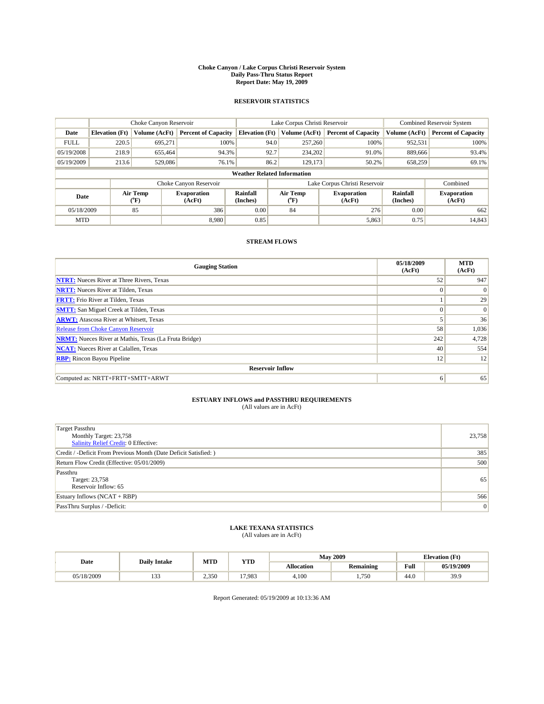#### **Choke Canyon / Lake Corpus Christi Reservoir System Daily Pass-Thru Status Report Report Date: May 19, 2009**

### **RESERVOIR STATISTICS**

|             |                                    | Choke Canyon Reservoir |                              |                       | Lake Corpus Christi Reservoir | <b>Combined Reservoir System</b> |                      |                              |  |  |
|-------------|------------------------------------|------------------------|------------------------------|-----------------------|-------------------------------|----------------------------------|----------------------|------------------------------|--|--|
| Date        | <b>Elevation</b> (Ft)              | Volume (AcFt)          | <b>Percent of Capacity</b>   | <b>Elevation</b> (Ft) | Volume (AcFt)                 | <b>Percent of Capacity</b>       | Volume (AcFt)        | <b>Percent of Capacity</b>   |  |  |
| <b>FULL</b> | 220.5                              | 695,271                | 100%                         | 94.0                  | 257,260                       | 100%                             | 952,531              | 100%                         |  |  |
| 05/19/2008  | 218.9                              | 655,464                | 94.3%                        | 92.7                  | 234,202                       | 91.0%                            | 889,666              | 93.4%                        |  |  |
| 05/19/2009  | 213.6                              | 529,086                | 76.1%                        | 86.2                  | 129,173                       | 50.2%                            | 658,259              | 69.1%                        |  |  |
|             | <b>Weather Related Information</b> |                        |                              |                       |                               |                                  |                      |                              |  |  |
|             |                                    |                        | Choke Canyon Reservoir       |                       |                               | Lake Corpus Christi Reservoir    |                      | Combined                     |  |  |
| Date        |                                    | Air Temp<br>(°F)       | <b>Evaporation</b><br>(AcFt) | Rainfall<br>(Inches)  | Air Temp<br>("F)              | <b>Evaporation</b><br>(AcFt)     | Rainfall<br>(Inches) | <b>Evaporation</b><br>(AcFt) |  |  |
| 05/18/2009  |                                    | 85                     | 386                          | 0.00                  | 84                            | 276                              | 0.00                 | 662                          |  |  |
| <b>MTD</b>  |                                    |                        | 8.980                        | 0.85                  |                               | 5,863                            | 0.75                 | 14.843                       |  |  |

## **STREAM FLOWS**

| <b>Gauging Station</b>                                       | 05/18/2009<br>(AcFt) | <b>MTD</b><br>(AcFt) |  |  |  |  |  |
|--------------------------------------------------------------|----------------------|----------------------|--|--|--|--|--|
| <b>NTRT:</b> Nueces River at Three Rivers, Texas             | 52                   | 947                  |  |  |  |  |  |
| <b>NRTT:</b> Nueces River at Tilden, Texas                   | $\theta$             | $\Omega$             |  |  |  |  |  |
| <b>FRTT:</b> Frio River at Tilden, Texas                     |                      | 29                   |  |  |  |  |  |
| <b>SMTT:</b> San Miguel Creek at Tilden, Texas               | $\theta$             | $\Omega$             |  |  |  |  |  |
| <b>ARWT:</b> Atascosa River at Whitsett, Texas               |                      | 36                   |  |  |  |  |  |
| Release from Choke Canyon Reservoir                          | 58                   | 1,036                |  |  |  |  |  |
| <b>NRMT:</b> Nueces River at Mathis, Texas (La Fruta Bridge) | 242                  | 4,728                |  |  |  |  |  |
| <b>NCAT:</b> Nueces River at Calallen, Texas                 | 40                   | 554                  |  |  |  |  |  |
| <b>RBP:</b> Rincon Bayou Pipeline                            | 12                   | 12                   |  |  |  |  |  |
| <b>Reservoir Inflow</b>                                      |                      |                      |  |  |  |  |  |
| Computed as: NRTT+FRTT+SMTT+ARWT                             | 6                    | 65                   |  |  |  |  |  |

# **ESTUARY INFLOWS and PASSTHRU REQUIREMENTS**<br>(All values are in AcFt)

| Target Passthru<br>Monthly Target: 23,758<br>Salinity Relief Credit: 0 Effective: | 23,758 |
|-----------------------------------------------------------------------------------|--------|
| Credit / -Deficit From Previous Month (Date Deficit Satisfied: )                  | 385    |
| Return Flow Credit (Effective: 05/01/2009)                                        | 500    |
| Passthru<br>Target: 23,758<br>Reservoir Inflow: 65                                | 65     |
| Estuary Inflows (NCAT + RBP)                                                      | 566    |
| PassThru Surplus / -Deficit:                                                      | 0      |

## **LAKE TEXANA STATISTICS** (All values are in AcFt)

|            | <b>Daily Intake</b> | MTD   | <b>YTD</b> |                   | <b>May 2009</b>  | <b>Elevation</b> (Ft)                       |            |
|------------|---------------------|-------|------------|-------------------|------------------|---------------------------------------------|------------|
| Date       |                     |       |            | <b>Allocation</b> | <b>Remaining</b> | Full<br>the contract of the contract of the | 05/19/2009 |
| 05/18/2009 | $\sim$<br>.         | 2.350 | 17.983     | 4.100             | 750              | 44.0                                        | 39.9       |

Report Generated: 05/19/2009 at 10:13:36 AM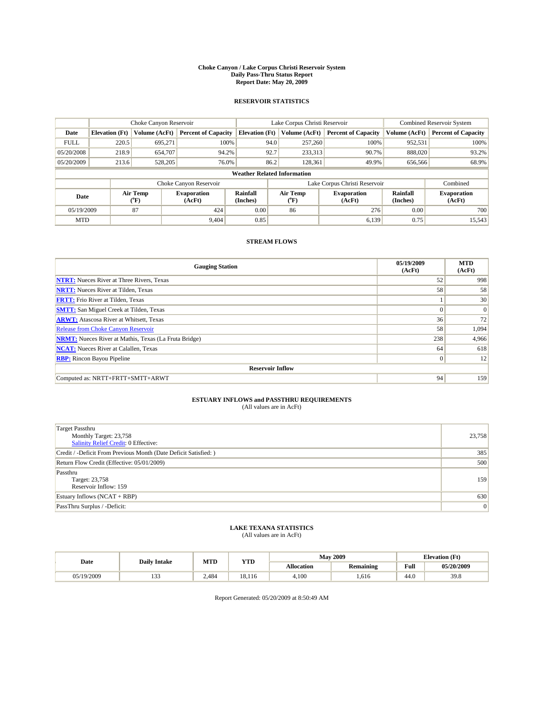#### **Choke Canyon / Lake Corpus Christi Reservoir System Daily Pass-Thru Status Report Report Date: May 20, 2009**

### **RESERVOIR STATISTICS**

|             | Choke Canyon Reservoir             |                  |                              |                       | Lake Corpus Christi Reservoir | <b>Combined Reservoir System</b> |                      |                              |  |  |
|-------------|------------------------------------|------------------|------------------------------|-----------------------|-------------------------------|----------------------------------|----------------------|------------------------------|--|--|
| Date        | <b>Elevation</b> (Ft)              | Volume (AcFt)    | <b>Percent of Capacity</b>   | <b>Elevation</b> (Ft) | Volume (AcFt)                 | <b>Percent of Capacity</b>       | Volume (AcFt)        | <b>Percent of Capacity</b>   |  |  |
| <b>FULL</b> | 220.5                              | 695,271          | 100%                         | 94.0                  | 257,260                       | 100%                             | 952,531              | 100%                         |  |  |
| 05/20/2008  | 218.9                              | 654,707          | 94.2%                        | 92.7                  | 233,313                       | 90.7%                            | 888,020              | 93.2%                        |  |  |
| 05/20/2009  | 213.6                              | 528,205          | 76.0%                        | 86.2                  | 128,361                       | 49.9%                            | 656,566              | 68.9%                        |  |  |
|             | <b>Weather Related Information</b> |                  |                              |                       |                               |                                  |                      |                              |  |  |
|             |                                    |                  | Choke Canyon Reservoir       |                       |                               | Lake Corpus Christi Reservoir    |                      | Combined                     |  |  |
| Date        |                                    | Air Temp<br>(°F) | <b>Evaporation</b><br>(AcFt) | Rainfall<br>(Inches)  | Air Temp<br>("F)              | <b>Evaporation</b><br>(AcFt)     | Rainfall<br>(Inches) | <b>Evaporation</b><br>(AcFt) |  |  |
| 05/19/2009  |                                    | 87               | 424                          | 0.00                  | 86                            | 276                              | 0.00                 | 700                          |  |  |
| <b>MTD</b>  |                                    |                  | 9.404                        | 0.85                  |                               | 6.139                            | 0.75                 | 15,543                       |  |  |

## **STREAM FLOWS**

| <b>Gauging Station</b>                                       | 05/19/2009<br>(AcFt) | <b>MTD</b><br>(AcFt) |  |  |  |  |  |
|--------------------------------------------------------------|----------------------|----------------------|--|--|--|--|--|
| <b>NTRT:</b> Nueces River at Three Rivers, Texas             | 52                   | 998                  |  |  |  |  |  |
| <b>NRTT:</b> Nueces River at Tilden, Texas                   | 58                   | 58                   |  |  |  |  |  |
| <b>FRTT:</b> Frio River at Tilden, Texas                     |                      | 30                   |  |  |  |  |  |
| <b>SMTT:</b> San Miguel Creek at Tilden, Texas               | $\Omega$             | $\vert 0 \vert$      |  |  |  |  |  |
| <b>ARWT:</b> Atascosa River at Whitsett, Texas               | 36                   | 72                   |  |  |  |  |  |
| Release from Choke Canyon Reservoir                          | 58                   | 1,094                |  |  |  |  |  |
| <b>NRMT:</b> Nueces River at Mathis, Texas (La Fruta Bridge) | 238                  | 4,966                |  |  |  |  |  |
| <b>NCAT:</b> Nueces River at Calallen, Texas                 | 64                   | 618                  |  |  |  |  |  |
| <b>RBP:</b> Rincon Bayou Pipeline                            | $\mathbf{0}$         | 12                   |  |  |  |  |  |
| <b>Reservoir Inflow</b>                                      |                      |                      |  |  |  |  |  |
| Computed as: NRTT+FRTT+SMTT+ARWT                             | 94                   | 159                  |  |  |  |  |  |

# **ESTUARY INFLOWS and PASSTHRU REQUIREMENTS**<br>(All values are in AcFt)

| Target Passthru<br>Monthly Target: 23,758<br>Salinity Relief Credit: 0 Effective: | 23,758 |
|-----------------------------------------------------------------------------------|--------|
| Credit / -Deficit From Previous Month (Date Deficit Satisfied: )                  | 385    |
| Return Flow Credit (Effective: 05/01/2009)                                        | 500    |
| Passthru<br>Target: 23,758<br>Reservoir Inflow: 159                               | 159    |
| Estuary Inflows $(NCAT + RBP)$                                                    | 630    |
| PassThru Surplus / -Deficit:                                                      | 0      |

## **LAKE TEXANA STATISTICS** (All values are in AcFt)

|            | <b>Daily Intake</b> | MTD   | YTD    |            | <b>May 2009</b>  | <b>Elevation</b> (Ft) |            |
|------------|---------------------|-------|--------|------------|------------------|-----------------------|------------|
| Date       |                     |       |        | Allocation | <b>Remaining</b> | Full                  | 05/20/2009 |
| 05/19/2009 | $\sim$<br>1 J J     | 2.484 | 18.116 | 4.100      | 1.616            | 44.0                  | 39.8       |

Report Generated: 05/20/2009 at 8:50:49 AM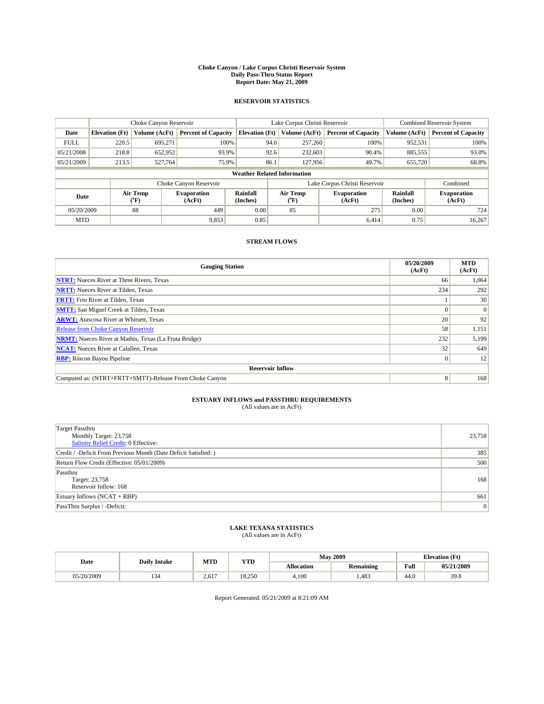#### **Choke Canyon / Lake Corpus Christi Reservoir System Daily Pass-Thru Status Report Report Date: May 21, 2009**

### **RESERVOIR STATISTICS**

|             |                                    | Choke Canyon Reservoir |                              |                       | Lake Corpus Christi Reservoir | <b>Combined Reservoir System</b> |                      |                              |  |  |
|-------------|------------------------------------|------------------------|------------------------------|-----------------------|-------------------------------|----------------------------------|----------------------|------------------------------|--|--|
| Date        | <b>Elevation</b> (Ft)              | Volume (AcFt)          | <b>Percent of Capacity</b>   | <b>Elevation</b> (Ft) | Volume (AcFt)                 | <b>Percent of Capacity</b>       | Volume (AcFt)        | <b>Percent of Capacity</b>   |  |  |
| <b>FULL</b> | 220.5                              | 695,271                | 100%                         | 94.0                  | 257,260                       | 100%                             | 952,531              | 100%                         |  |  |
| 05/21/2008  | 218.8                              | 652,952                | 93.9%                        | 92.6                  | 232,603                       | 90.4%                            | 885,555              | 93.0%                        |  |  |
| 05/21/2009  | 213.5                              | 527,764                | 75.9%                        | 86.1                  | 127,956                       | 49.7%                            | 655,720              | 68.8%                        |  |  |
|             | <b>Weather Related Information</b> |                        |                              |                       |                               |                                  |                      |                              |  |  |
|             |                                    |                        | Choke Canyon Reservoir       |                       |                               | Lake Corpus Christi Reservoir    |                      | Combined                     |  |  |
| Date        |                                    | Air Temp<br>(°F)       | <b>Evaporation</b><br>(AcFt) | Rainfall<br>(Inches)  | Air Temp<br>("F)              | <b>Evaporation</b><br>(AcFt)     | Rainfall<br>(Inches) | <b>Evaporation</b><br>(AcFt) |  |  |
| 05/20/2009  |                                    | 88                     | 449                          | 0.00                  | 85                            | 275                              | 0.00                 | 724                          |  |  |
| <b>MTD</b>  |                                    |                        | 9,853                        | 0.85                  |                               | 6.414                            | 0.75                 | 16.267                       |  |  |

## **STREAM FLOWS**

| <b>Gauging Station</b>                                       | 05/20/2009<br>(AcFt) | <b>MTD</b><br>(AcFt) |  |  |  |  |  |
|--------------------------------------------------------------|----------------------|----------------------|--|--|--|--|--|
| <b>NTRT:</b> Nueces River at Three Rivers, Texas             | 66                   | 1,064                |  |  |  |  |  |
| <b>NRTT:</b> Nueces River at Tilden, Texas                   | 234                  | 292                  |  |  |  |  |  |
| <b>FRTT:</b> Frio River at Tilden, Texas                     |                      | 30                   |  |  |  |  |  |
| <b>SMTT:</b> San Miguel Creek at Tilden, Texas               |                      | $\Omega$             |  |  |  |  |  |
| <b>ARWT:</b> Atascosa River at Whitsett, Texas               | 20                   | 92                   |  |  |  |  |  |
| <b>Release from Choke Canyon Reservoir</b>                   | 58                   | 1,151                |  |  |  |  |  |
| <b>NRMT:</b> Nueces River at Mathis, Texas (La Fruta Bridge) | 232                  | 5,199                |  |  |  |  |  |
| <b>NCAT:</b> Nueces River at Calallen, Texas                 | 32                   | 649                  |  |  |  |  |  |
| <b>RBP:</b> Rincon Bayou Pipeline<br>$\vert 0 \vert$         |                      |                      |  |  |  |  |  |
| <b>Reservoir Inflow</b>                                      |                      |                      |  |  |  |  |  |
| Computed as: (NTRT+FRTT+SMTT)-Release From Choke Canyon      | 8 <sup>1</sup>       | 168                  |  |  |  |  |  |

# **ESTUARY INFLOWS and PASSTHRU REQUIREMENTS**<br>(All values are in AcFt)

| Target Passthru                                                  |                 |
|------------------------------------------------------------------|-----------------|
| Monthly Target: 23,758                                           | 23,758          |
| <b>Salinity Relief Credit: 0 Effective:</b>                      |                 |
| Credit / -Deficit From Previous Month (Date Deficit Satisfied: ) | 385             |
| Return Flow Credit (Effective: 05/01/2009)                       | 500             |
| Passthru                                                         |                 |
| Target: 23,758                                                   | 168             |
| Reservoir Inflow: 168                                            |                 |
| Estuary Inflows $(NCAT + RBP)$                                   | 661             |
| PassThru Surplus / -Deficit:                                     | $\vert 0 \vert$ |

## **LAKE TEXANA STATISTICS** (All values are in AcFt)

|            | <b>Daily Intake</b> | MTD   | <b>YTD</b> |                   | <b>May 2009</b>  | <b>Elevation</b> (Ft)                       |            |
|------------|---------------------|-------|------------|-------------------|------------------|---------------------------------------------|------------|
| Date       |                     |       |            | <b>Allocation</b> | <b>Remaining</b> | Full<br>the contract of the contract of the | 05/21/2009 |
| 05/20/2009 | سور                 | 2.617 | 18.250     | 4.100             | .483             | 44.0                                        | 39.8       |

Report Generated: 05/21/2009 at 8:21:09 AM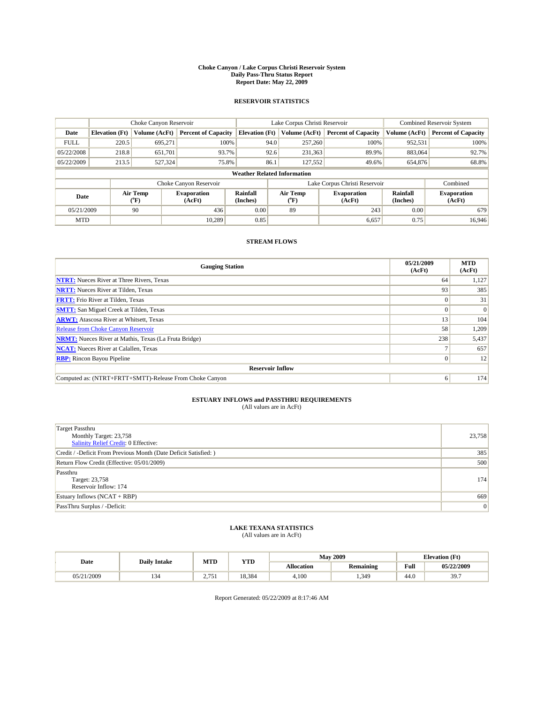#### **Choke Canyon / Lake Corpus Christi Reservoir System Daily Pass-Thru Status Report Report Date: May 22, 2009**

### **RESERVOIR STATISTICS**

|             | Choke Canyon Reservoir             |                  |                              |                       | Lake Corpus Christi Reservoir | <b>Combined Reservoir System</b> |                      |                              |  |
|-------------|------------------------------------|------------------|------------------------------|-----------------------|-------------------------------|----------------------------------|----------------------|------------------------------|--|
| Date        | <b>Elevation</b> (Ft)              | Volume (AcFt)    | <b>Percent of Capacity</b>   | <b>Elevation</b> (Ft) | Volume (AcFt)                 | <b>Percent of Capacity</b>       | Volume (AcFt)        | <b>Percent of Capacity</b>   |  |
| <b>FULL</b> | 220.5                              | 695,271          | 100%                         | 94.0                  | 257,260                       | 100%                             | 952,531              | 100%                         |  |
| 05/22/2008  | 218.8                              | 651,701          | 93.7%                        | 92.6                  | 231,363                       | 89.9%                            | 883,064              | 92.7%                        |  |
| 05/22/2009  | 213.5                              | 527,324          | 75.8%                        | 86.1                  | 127,552                       | 49.6%                            | 654,876              | 68.8%                        |  |
|             | <b>Weather Related Information</b> |                  |                              |                       |                               |                                  |                      |                              |  |
|             |                                    |                  | Choke Canyon Reservoir       |                       |                               | Lake Corpus Christi Reservoir    |                      | Combined                     |  |
| Date        |                                    | Air Temp<br>(°F) | <b>Evaporation</b><br>(AcFt) | Rainfall<br>(Inches)  | Air Temp<br>("F)              | <b>Evaporation</b><br>(AcFt)     | Rainfall<br>(Inches) | <b>Evaporation</b><br>(AcFt) |  |
| 05/21/2009  |                                    | 90               | 436                          | 0.00                  | 89                            | 243                              | 0.00                 | 679                          |  |
| <b>MTD</b>  |                                    |                  | 10.289                       | 0.85                  |                               | 6,657                            | 0.75                 | 16.946                       |  |

## **STREAM FLOWS**

| <b>Gauging Station</b>                                       | 05/21/2009<br>(AcFt) | <b>MTD</b><br>(AcFt) |  |  |  |  |
|--------------------------------------------------------------|----------------------|----------------------|--|--|--|--|
| <b>NTRT:</b> Nueces River at Three Rivers, Texas             | 64                   | 1,127                |  |  |  |  |
| <b>NRTT:</b> Nueces River at Tilden, Texas                   | 93                   | 385                  |  |  |  |  |
| <b>FRTT:</b> Frio River at Tilden, Texas                     |                      | 31                   |  |  |  |  |
| <b>SMTT:</b> San Miguel Creek at Tilden, Texas               |                      | $\Omega$             |  |  |  |  |
| <b>ARWT:</b> Atascosa River at Whitsett, Texas               | 13                   | 104                  |  |  |  |  |
| <b>Release from Choke Canyon Reservoir</b>                   | 58                   | 1,209                |  |  |  |  |
| <b>NRMT:</b> Nueces River at Mathis, Texas (La Fruta Bridge) | 238                  | 5,437                |  |  |  |  |
| <b>NCAT:</b> Nueces River at Calallen, Texas                 |                      | 657                  |  |  |  |  |
| <b>RBP:</b> Rincon Bayou Pipeline                            | $\Omega$             | 12                   |  |  |  |  |
| <b>Reservoir Inflow</b>                                      |                      |                      |  |  |  |  |
| Computed as: (NTRT+FRTT+SMTT)-Release From Choke Canyon      | 6                    | 174                  |  |  |  |  |

# **ESTUARY INFLOWS and PASSTHRU REQUIREMENTS**<br>(All values are in AcFt)

| <b>Target Passthru</b><br>Monthly Target: 23,758<br><b>Salinity Relief Credit: 0 Effective:</b> | 23,758          |
|-------------------------------------------------------------------------------------------------|-----------------|
| Credit / -Deficit From Previous Month (Date Deficit Satisfied: )                                | 385             |
| Return Flow Credit (Effective: 05/01/2009)                                                      | 500             |
| Passthru<br>Target: 23,758<br>Reservoir Inflow: 174                                             | 174             |
| Estuary Inflows $(NCAT + RBP)$                                                                  | 669             |
| PassThru Surplus / -Deficit:                                                                    | $\vert 0 \vert$ |

## **LAKE TEXANA STATISTICS** (All values are in AcFt)

|            | <b>Daily Intake</b> | MTD  | <b>YTD</b> |                   | <b>May 2009</b>  | <b>Elevation</b> (Ft)                       |            |
|------------|---------------------|------|------------|-------------------|------------------|---------------------------------------------|------------|
| Date       |                     |      |            | <b>Allocation</b> | <b>Remaining</b> | Full<br>the contract of the contract of the | 05/22/2009 |
| 05/21/2009 | ىد ر                | 1751 | 18.384     | 4,100             | .349             | 44.0                                        | 39.7       |

Report Generated: 05/22/2009 at 8:17:46 AM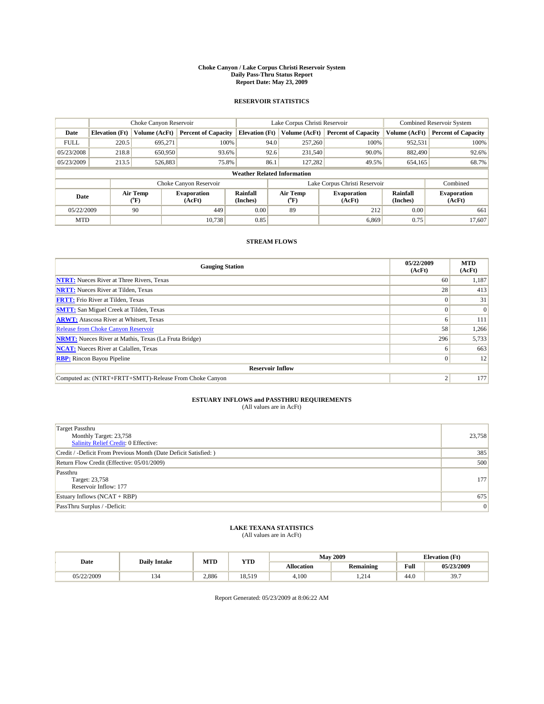#### **Choke Canyon / Lake Corpus Christi Reservoir System Daily Pass-Thru Status Report Report Date: May 23, 2009**

### **RESERVOIR STATISTICS**

|             | Choke Canyon Reservoir             |                  |                              |                       | Lake Corpus Christi Reservoir | <b>Combined Reservoir System</b> |                      |                              |  |
|-------------|------------------------------------|------------------|------------------------------|-----------------------|-------------------------------|----------------------------------|----------------------|------------------------------|--|
| Date        | <b>Elevation</b> (Ft)              | Volume (AcFt)    | <b>Percent of Capacity</b>   | <b>Elevation</b> (Ft) | Volume (AcFt)                 | <b>Percent of Capacity</b>       | Volume (AcFt)        | <b>Percent of Capacity</b>   |  |
| <b>FULL</b> | 220.5                              | 695,271          | 100%                         | 94.0                  | 257,260                       | 100%                             | 952,531              | 100%                         |  |
| 05/23/2008  | 218.8                              | 650,950          | 93.6%                        | 92.6                  | 231,540                       | 90.0%                            | 882,490              | 92.6%                        |  |
| 05/23/2009  | 213.5                              | 526,883          | 75.8%                        | 86.1                  | 127,282                       | 49.5%                            | 654,165              | 68.7%                        |  |
|             | <b>Weather Related Information</b> |                  |                              |                       |                               |                                  |                      |                              |  |
|             |                                    |                  | Choke Canyon Reservoir       |                       |                               | Lake Corpus Christi Reservoir    |                      | Combined                     |  |
| Date        |                                    | Air Temp<br>(°F) | <b>Evaporation</b><br>(AcFt) | Rainfall<br>(Inches)  | Air Temp<br>("F)              | <b>Evaporation</b><br>(AcFt)     | Rainfall<br>(Inches) | <b>Evaporation</b><br>(AcFt) |  |
| 05/22/2009  |                                    | 90               | 449                          | 0.00                  | 89                            | 212                              | 0.00                 | 661                          |  |
| <b>MTD</b>  |                                    |                  | 10.738                       | 0.85                  |                               | 6.869                            | 0.75                 | 17.607                       |  |

## **STREAM FLOWS**

| <b>Gauging Station</b>                                       | 05/22/2009<br>(AcFt) | <b>MTD</b><br>(AcFt) |  |  |  |  |
|--------------------------------------------------------------|----------------------|----------------------|--|--|--|--|
| <b>NTRT:</b> Nueces River at Three Rivers, Texas             | 60                   | 1,187                |  |  |  |  |
| <b>NRTT:</b> Nueces River at Tilden, Texas                   | 28                   | 413                  |  |  |  |  |
| <b>FRTT:</b> Frio River at Tilden, Texas                     |                      | 31                   |  |  |  |  |
| <b>SMTT:</b> San Miguel Creek at Tilden, Texas               |                      | $\Omega$             |  |  |  |  |
| <b>ARWT:</b> Atascosa River at Whitsett, Texas               | o                    | 111                  |  |  |  |  |
| Release from Choke Canyon Reservoir                          | 58                   | 1,266                |  |  |  |  |
| <b>NRMT:</b> Nueces River at Mathis, Texas (La Fruta Bridge) | 296                  | 5,733                |  |  |  |  |
| <b>NCAT:</b> Nueces River at Calallen, Texas                 |                      | 663                  |  |  |  |  |
| <b>RBP:</b> Rincon Bayou Pipeline                            | $\Omega$             | 12                   |  |  |  |  |
| <b>Reservoir Inflow</b>                                      |                      |                      |  |  |  |  |
| Computed as: (NTRT+FRTT+SMTT)-Release From Choke Canyon      |                      | 177                  |  |  |  |  |

# **ESTUARY INFLOWS and PASSTHRU REQUIREMENTS**<br>(All values are in AcFt)

| Target Passthru                                                  |                |
|------------------------------------------------------------------|----------------|
| Monthly Target: 23,758                                           | 23,758         |
| <b>Salinity Relief Credit: 0 Effective:</b>                      |                |
| Credit / -Deficit From Previous Month (Date Deficit Satisfied: ) | 385            |
| Return Flow Credit (Effective: 05/01/2009)                       | 500            |
| Passthru                                                         |                |
| Target: 23,758                                                   | 177            |
| Reservoir Inflow: 177                                            |                |
| Estuary Inflows $(NCAT + RBP)$                                   | 675            |
| PassThru Surplus / -Deficit:                                     | $\overline{0}$ |

## **LAKE TEXANA STATISTICS** (All values are in AcFt)

|            | <b>Daily Intake</b> | MTD   | <b>YTD</b> |                   | <b>May 2009</b>  | <b>Elevation</b> (Ft)                       |            |
|------------|---------------------|-------|------------|-------------------|------------------|---------------------------------------------|------------|
| Date       |                     |       |            | <b>Allocation</b> | <b>Remaining</b> | Full<br>the contract of the contract of the | 05/23/2009 |
| 05/22/2009 | سور                 | 2.886 | 18.519     | 4.100             | .214             | 44.0                                        | 39.7       |

Report Generated: 05/23/2009 at 8:06:22 AM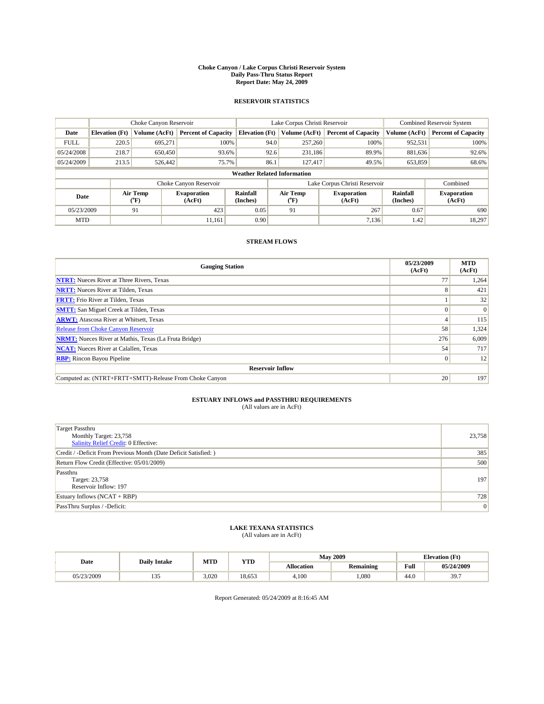#### **Choke Canyon / Lake Corpus Christi Reservoir System Daily Pass-Thru Status Report Report Date: May 24, 2009**

### **RESERVOIR STATISTICS**

|                                    | Choke Canyon Reservoir |                  |                              |                       | Lake Corpus Christi Reservoir | <b>Combined Reservoir System</b> |                      |                              |
|------------------------------------|------------------------|------------------|------------------------------|-----------------------|-------------------------------|----------------------------------|----------------------|------------------------------|
| Date                               | <b>Elevation</b> (Ft)  | Volume (AcFt)    | <b>Percent of Capacity</b>   | <b>Elevation</b> (Ft) | Volume (AcFt)                 | <b>Percent of Capacity</b>       | Volume (AcFt)        | <b>Percent of Capacity</b>   |
| <b>FULL</b>                        | 220.5                  | 695,271          | 100%                         | 94.0                  | 257,260                       | 100%                             | 952,531              | 100%                         |
| 05/24/2008                         | 218.7                  | 650,450          | 93.6%                        | 92.6                  | 231,186                       | 89.9%                            | 881,636              | 92.6%                        |
| 05/24/2009                         | 213.5                  | 526,442          | 75.7%                        | 86.1                  | 127,417                       | 49.5%                            | 653,859              | 68.6%                        |
| <b>Weather Related Information</b> |                        |                  |                              |                       |                               |                                  |                      |                              |
|                                    |                        |                  | Choke Canyon Reservoir       |                       |                               | Lake Corpus Christi Reservoir    |                      | Combined                     |
| Date                               |                        | Air Temp<br>(°F) | <b>Evaporation</b><br>(AcFt) | Rainfall<br>(Inches)  | Air Temp<br>("F)              | <b>Evaporation</b><br>(AcFt)     | Rainfall<br>(Inches) | <b>Evaporation</b><br>(AcFt) |
| 05/23/2009                         |                        | 91               | 423                          | 0.05                  | 91                            | 267                              | 0.67                 | 690                          |
| <b>MTD</b>                         |                        |                  | 11.161                       | 0.90                  |                               | 7.136                            | 1.42                 | 18.297                       |

## **STREAM FLOWS**

| <b>Gauging Station</b>                                       | 05/23/2009<br>(AcFt) | <b>MTD</b><br>(AcFt) |  |  |  |  |
|--------------------------------------------------------------|----------------------|----------------------|--|--|--|--|
| <b>NTRT:</b> Nueces River at Three Rivers, Texas             | 77                   | 1,264                |  |  |  |  |
| <b>NRTT:</b> Nueces River at Tilden, Texas                   | 8                    | 421                  |  |  |  |  |
| <b>FRTT:</b> Frio River at Tilden, Texas                     |                      | 32                   |  |  |  |  |
| <b>SMTT:</b> San Miguel Creek at Tilden, Texas               |                      | $\Omega$             |  |  |  |  |
| <b>ARWT:</b> Atascosa River at Whitsett, Texas               |                      | 115                  |  |  |  |  |
| <b>Release from Choke Canyon Reservoir</b>                   | 58                   | 1,324                |  |  |  |  |
| <b>NRMT:</b> Nueces River at Mathis, Texas (La Fruta Bridge) | 276                  | 6,009                |  |  |  |  |
| <b>NCAT:</b> Nueces River at Calallen, Texas                 | 54                   | 717                  |  |  |  |  |
| <b>RBP:</b> Rincon Bayou Pipeline                            | $\vert 0 \vert$      | 12                   |  |  |  |  |
| <b>Reservoir Inflow</b>                                      |                      |                      |  |  |  |  |
| Computed as: (NTRT+FRTT+SMTT)-Release From Choke Canyon      | 20                   | 197                  |  |  |  |  |

# **ESTUARY INFLOWS and PASSTHRU REQUIREMENTS**<br>(All values are in AcFt)

| <b>Target Passthru</b><br>Monthly Target: 23,758<br>23,758<br><b>Salinity Relief Credit: 0 Effective:</b><br>Credit / -Deficit From Previous Month (Date Deficit Satisfied: )<br>Return Flow Credit (Effective: 05/01/2009)<br>Passthru<br>Target: 23,758<br>Reservoir Inflow: 197<br>Estuary Inflows $(NCAT + RBP)$<br>$\overline{0}$<br>PassThru Surplus / -Deficit: |     |
|------------------------------------------------------------------------------------------------------------------------------------------------------------------------------------------------------------------------------------------------------------------------------------------------------------------------------------------------------------------------|-----|
|                                                                                                                                                                                                                                                                                                                                                                        |     |
|                                                                                                                                                                                                                                                                                                                                                                        |     |
|                                                                                                                                                                                                                                                                                                                                                                        |     |
|                                                                                                                                                                                                                                                                                                                                                                        | 385 |
|                                                                                                                                                                                                                                                                                                                                                                        | 500 |
|                                                                                                                                                                                                                                                                                                                                                                        |     |
|                                                                                                                                                                                                                                                                                                                                                                        | 197 |
|                                                                                                                                                                                                                                                                                                                                                                        |     |
|                                                                                                                                                                                                                                                                                                                                                                        | 728 |
|                                                                                                                                                                                                                                                                                                                                                                        |     |

## **LAKE TEXANA STATISTICS** (All values are in AcFt)

|            | <b>Daily Intake</b>    | MTD   | <b>YTD</b> |                   | <b>May 2009</b>  | <b>Elevation</b> (Ft)                       |            |
|------------|------------------------|-------|------------|-------------------|------------------|---------------------------------------------|------------|
| Date       |                        |       |            | <b>Allocation</b> | <b>Remaining</b> | Full<br>the contract of the contract of the | 05/24/2009 |
| 05/23/2009 | $\sim$ $\sim$<br>ر د د | 3.020 | 18.653     | 4.100             | .080             | 44.0                                        | 39.7       |

Report Generated: 05/24/2009 at 8:16:45 AM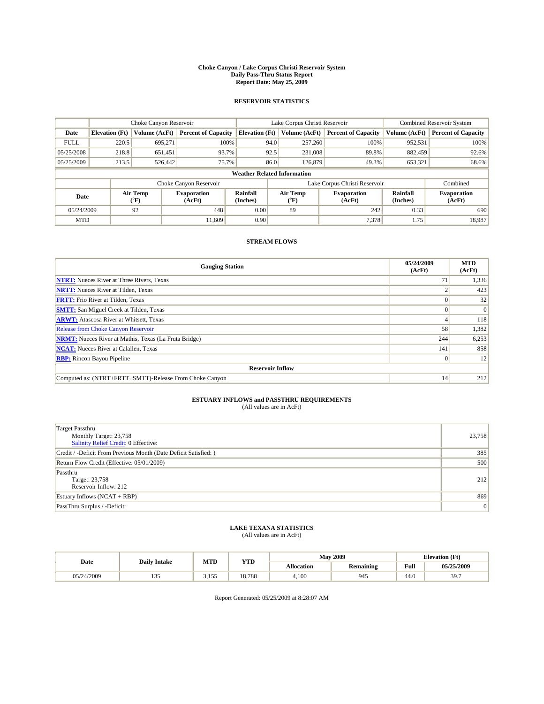#### **Choke Canyon / Lake Corpus Christi Reservoir System Daily Pass-Thru Status Report Report Date: May 25, 2009**

### **RESERVOIR STATISTICS**

|             | Choke Canyon Reservoir             |                  |                              |                       | Lake Corpus Christi Reservoir | <b>Combined Reservoir System</b> |                      |                              |  |
|-------------|------------------------------------|------------------|------------------------------|-----------------------|-------------------------------|----------------------------------|----------------------|------------------------------|--|
| Date        | <b>Elevation</b> (Ft)              | Volume (AcFt)    | <b>Percent of Capacity</b>   | <b>Elevation</b> (Ft) | Volume (AcFt)                 | <b>Percent of Capacity</b>       | Volume (AcFt)        | <b>Percent of Capacity</b>   |  |
| <b>FULL</b> | 220.5                              | 695,271          | 100%                         | 94.0                  | 257,260                       | 100%                             | 952,531              | 100%                         |  |
| 05/25/2008  | 218.8                              | 651,451          | 93.7%                        | 92.5                  | 231,008                       | 89.8%                            | 882,459              | 92.6%                        |  |
| 05/25/2009  | 213.5                              | 526,442          | 75.7%                        | 86.0                  | 126,879                       | 49.3%                            | 653,321              | 68.6%                        |  |
|             | <b>Weather Related Information</b> |                  |                              |                       |                               |                                  |                      |                              |  |
|             |                                    |                  | Choke Canyon Reservoir       |                       |                               | Lake Corpus Christi Reservoir    |                      | Combined                     |  |
| Date        |                                    | Air Temp<br>(°F) | <b>Evaporation</b><br>(AcFt) | Rainfall<br>(Inches)  | Air Temp<br>("F)              | <b>Evaporation</b><br>(AcFt)     | Rainfall<br>(Inches) | <b>Evaporation</b><br>(AcFt) |  |
| 05/24/2009  |                                    | 92               | 448                          | 0.00                  | 89                            | 242                              | 0.33                 | 690                          |  |
| <b>MTD</b>  |                                    |                  | 11,609                       | 0.90                  |                               | 7,378                            | 1.75                 | 18,987                       |  |

## **STREAM FLOWS**

| <b>Gauging Station</b>                                       | 05/24/2009<br>(AcFt) | <b>MTD</b><br>(AcFt) |  |  |  |  |
|--------------------------------------------------------------|----------------------|----------------------|--|--|--|--|
| <b>NTRT:</b> Nueces River at Three Rivers, Texas             |                      | 1,336                |  |  |  |  |
| <b>NRTT:</b> Nueces River at Tilden, Texas                   |                      | 423                  |  |  |  |  |
| <b>FRTT:</b> Frio River at Tilden, Texas                     |                      | 32                   |  |  |  |  |
| <b>SMTT:</b> San Miguel Creek at Tilden, Texas               |                      | $\Omega$             |  |  |  |  |
| <b>ARWT:</b> Atascosa River at Whitsett, Texas               |                      | 118                  |  |  |  |  |
| <b>Release from Choke Canyon Reservoir</b>                   | 58                   | 1,382                |  |  |  |  |
| <b>NRMT:</b> Nueces River at Mathis, Texas (La Fruta Bridge) | 244                  | 6,253                |  |  |  |  |
| <b>NCAT:</b> Nueces River at Calallen, Texas                 | 141                  | 858                  |  |  |  |  |
| <b>RBP:</b> Rincon Bayou Pipeline                            | $\Omega$             | 12                   |  |  |  |  |
| <b>Reservoir Inflow</b>                                      |                      |                      |  |  |  |  |
| Computed as: (NTRT+FRTT+SMTT)-Release From Choke Canyon      | 14                   | 212                  |  |  |  |  |

# **ESTUARY INFLOWS and PASSTHRU REQUIREMENTS**<br>(All values are in AcFt)

| Target Passthru<br>Monthly Target: 23,758                        | 23,758         |
|------------------------------------------------------------------|----------------|
| <b>Salinity Relief Credit: 0 Effective:</b>                      |                |
| Credit / -Deficit From Previous Month (Date Deficit Satisfied: ) | 385            |
| Return Flow Credit (Effective: 05/01/2009)                       | 500            |
| Passthru                                                         |                |
| Target: 23,758                                                   | 212            |
| Reservoir Inflow: 212                                            |                |
| Estuary Inflows $(NCAT + RBP)$                                   | 869            |
| PassThru Surplus / -Deficit:                                     | $\overline{0}$ |

## **LAKE TEXANA STATISTICS** (All values are in AcFt)

|            | <b>Daily Intake</b>    | MTD             | <b>YTD</b> |                   | <b>May 2009</b>  | <b>Elevation</b> (Ft)                       |            |
|------------|------------------------|-----------------|------------|-------------------|------------------|---------------------------------------------|------------|
| Date       |                        |                 |            | <b>Allocation</b> | <b>Remaining</b> | Full<br>the contract of the contract of the | 05/25/2009 |
| 05/24/2009 | $\sim$ $\sim$<br>1 J J | 155<br><u>.</u> | 18.788     | 4,100             | 945              | 44.0                                        | 39.7       |

Report Generated: 05/25/2009 at 8:28:07 AM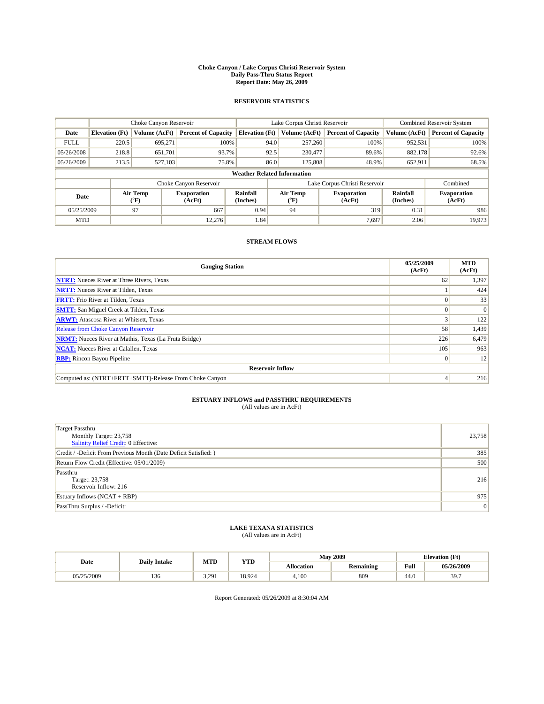#### **Choke Canyon / Lake Corpus Christi Reservoir System Daily Pass-Thru Status Report Report Date: May 26, 2009**

### **RESERVOIR STATISTICS**

|             | Choke Canyon Reservoir             |                  |                              |                       | Lake Corpus Christi Reservoir | <b>Combined Reservoir System</b> |                      |                              |  |
|-------------|------------------------------------|------------------|------------------------------|-----------------------|-------------------------------|----------------------------------|----------------------|------------------------------|--|
| Date        | <b>Elevation</b> (Ft)              | Volume (AcFt)    | <b>Percent of Capacity</b>   | <b>Elevation</b> (Ft) | Volume (AcFt)                 | <b>Percent of Capacity</b>       | Volume (AcFt)        | <b>Percent of Capacity</b>   |  |
| <b>FULL</b> | 220.5                              | 695,271          | 100%                         | 94.0                  | 257,260                       | 100%                             | 952,531              | 100%                         |  |
| 05/26/2008  | 218.8                              | 651,701          | 93.7%                        | 92.5                  | 230,477                       | 89.6%                            | 882,178              | 92.6%                        |  |
| 05/26/2009  | 213.5                              | 527,103          | 75.8%                        | 86.0                  | 125,808                       | 48.9%                            | 652,911              | 68.5%                        |  |
|             | <b>Weather Related Information</b> |                  |                              |                       |                               |                                  |                      |                              |  |
|             |                                    |                  | Choke Canyon Reservoir       |                       |                               | Lake Corpus Christi Reservoir    |                      | Combined                     |  |
| Date        |                                    | Air Temp<br>(°F) | <b>Evaporation</b><br>(AcFt) | Rainfall<br>(Inches)  | Air Temp<br>("F)              | <b>Evaporation</b><br>(AcFt)     | Rainfall<br>(Inches) | <b>Evaporation</b><br>(AcFt) |  |
| 05/25/2009  |                                    | 97               | 667                          | 0.94                  | 94                            | 319                              | 0.31                 | 986                          |  |
| <b>MTD</b>  |                                    |                  | 12.276                       | 1.84                  |                               | 7.697                            | 2.06                 | 19,973                       |  |

## **STREAM FLOWS**

| <b>Gauging Station</b>                                       | 05/25/2009<br>(AcFt) | <b>MTD</b><br>(AcFt) |  |  |  |  |
|--------------------------------------------------------------|----------------------|----------------------|--|--|--|--|
| <b>NTRT:</b> Nueces River at Three Rivers, Texas             | 62                   | 1,397                |  |  |  |  |
| <b>NRTT:</b> Nueces River at Tilden, Texas                   |                      | 424                  |  |  |  |  |
| <b>FRTT:</b> Frio River at Tilden, Texas                     |                      | 33                   |  |  |  |  |
| <b>SMTT:</b> San Miguel Creek at Tilden, Texas               |                      | $\Omega$             |  |  |  |  |
| <b>ARWT:</b> Atascosa River at Whitsett, Texas               |                      | 122                  |  |  |  |  |
| Release from Choke Canyon Reservoir                          | 58                   | 1,439                |  |  |  |  |
| <b>NRMT:</b> Nueces River at Mathis, Texas (La Fruta Bridge) | 226                  | 6,479                |  |  |  |  |
| <b>NCAT:</b> Nueces River at Calallen, Texas                 | 105                  | 963                  |  |  |  |  |
| <b>RBP:</b> Rincon Bayou Pipeline                            | $\Omega$             | 12                   |  |  |  |  |
| <b>Reservoir Inflow</b>                                      |                      |                      |  |  |  |  |
| Computed as: (NTRT+FRTT+SMTT)-Release From Choke Canyon      |                      | 216                  |  |  |  |  |

# **ESTUARY INFLOWS and PASSTHRU REQUIREMENTS**<br>(All values are in AcFt)

| <b>Target Passthru</b><br>Monthly Target: 23,758<br>23,758<br><b>Salinity Relief Credit: 0 Effective:</b><br>385<br>Credit / -Deficit From Previous Month (Date Deficit Satisfied: )<br>500<br>Return Flow Credit (Effective: 05/01/2009)<br>Passthru<br>216<br>Target: 23,758<br>Reservoir Inflow: 216<br>975<br>Estuary Inflows $(NCAT + RBP)$<br>PassThru Surplus / -Deficit:<br>$\overline{0}$ |  |
|----------------------------------------------------------------------------------------------------------------------------------------------------------------------------------------------------------------------------------------------------------------------------------------------------------------------------------------------------------------------------------------------------|--|
|                                                                                                                                                                                                                                                                                                                                                                                                    |  |
|                                                                                                                                                                                                                                                                                                                                                                                                    |  |
|                                                                                                                                                                                                                                                                                                                                                                                                    |  |
|                                                                                                                                                                                                                                                                                                                                                                                                    |  |
|                                                                                                                                                                                                                                                                                                                                                                                                    |  |
|                                                                                                                                                                                                                                                                                                                                                                                                    |  |
|                                                                                                                                                                                                                                                                                                                                                                                                    |  |
|                                                                                                                                                                                                                                                                                                                                                                                                    |  |
|                                                                                                                                                                                                                                                                                                                                                                                                    |  |
|                                                                                                                                                                                                                                                                                                                                                                                                    |  |

## **LAKE TEXANA STATISTICS** (All values are in AcFt)

|            | <b>Daily Intake</b> | MTD                | <b>YTD</b> |                   | <b>May 2009</b>  | <b>Elevation</b> (Ft)                       |            |
|------------|---------------------|--------------------|------------|-------------------|------------------|---------------------------------------------|------------|
| Date       |                     |                    |            | <b>Allocation</b> | <b>Remaining</b> | Full<br>the contract of the contract of the | 05/26/2009 |
| 05/25/2009 | 136                 | 3.291<br>التركيدات | 18.924     | 4.100             | 809              | 44.0                                        | 39.7       |

Report Generated: 05/26/2009 at 8:30:04 AM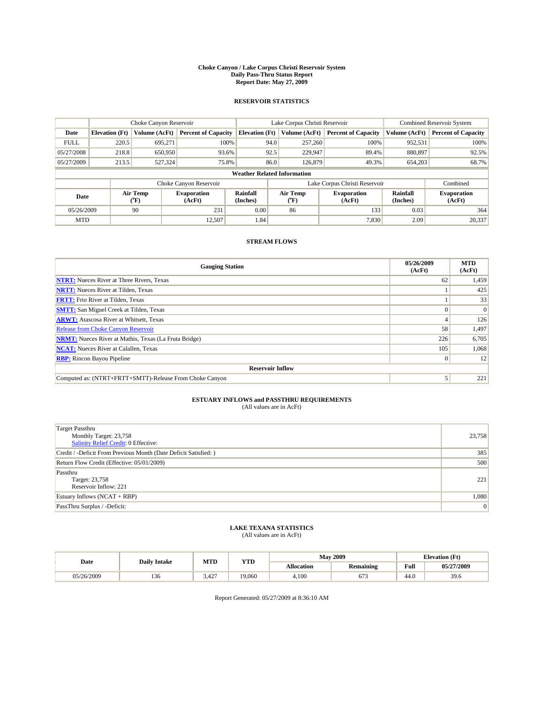#### **Choke Canyon / Lake Corpus Christi Reservoir System Daily Pass-Thru Status Report Report Date: May 27, 2009**

### **RESERVOIR STATISTICS**

|             | Choke Canyon Reservoir             |                  |                              |                       | Lake Corpus Christi Reservoir | <b>Combined Reservoir System</b> |                      |                              |  |
|-------------|------------------------------------|------------------|------------------------------|-----------------------|-------------------------------|----------------------------------|----------------------|------------------------------|--|
| Date        | <b>Elevation</b> (Ft)              | Volume (AcFt)    | <b>Percent of Capacity</b>   | <b>Elevation</b> (Ft) | Volume (AcFt)                 | <b>Percent of Capacity</b>       | Volume (AcFt)        | <b>Percent of Capacity</b>   |  |
| <b>FULL</b> | 220.5                              | 695,271          | 100%                         | 94.0                  | 257,260                       | 100%                             | 952,531              | 100%                         |  |
| 05/27/2008  | 218.8                              | 650,950          | 93.6%                        | 92.5                  | 229,947                       | 89.4%                            | 880,897              | 92.5%                        |  |
| 05/27/2009  | 213.5                              | 527,324          | 75.8%                        | 86.0                  | 126,879                       | 49.3%                            | 654,203              | 68.7%                        |  |
|             | <b>Weather Related Information</b> |                  |                              |                       |                               |                                  |                      |                              |  |
|             |                                    |                  | Choke Canyon Reservoir       |                       |                               | Lake Corpus Christi Reservoir    |                      | Combined                     |  |
| Date        |                                    | Air Temp<br>(°F) | <b>Evaporation</b><br>(AcFt) | Rainfall<br>(Inches)  | Air Temp<br>("F)              | <b>Evaporation</b><br>(AcFt)     | Rainfall<br>(Inches) | <b>Evaporation</b><br>(AcFt) |  |
| 05/26/2009  |                                    | 90               | 231                          | 0.00                  | 86                            | 133                              | 0.03                 | 364                          |  |
| <b>MTD</b>  |                                    |                  | 12.507                       | 1.84                  |                               | 7,830                            | 2.09                 | 20,337                       |  |

## **STREAM FLOWS**

| <b>Gauging Station</b>                                       | 05/26/2009<br>(AcFt) | <b>MTD</b><br>(AcFt) |  |  |  |  |
|--------------------------------------------------------------|----------------------|----------------------|--|--|--|--|
| <b>NTRT:</b> Nueces River at Three Rivers, Texas             | 62                   | 1,459                |  |  |  |  |
| <b>NRTT:</b> Nueces River at Tilden, Texas                   |                      | 425                  |  |  |  |  |
| <b>FRTT:</b> Frio River at Tilden, Texas                     |                      | 33                   |  |  |  |  |
| <b>SMTT:</b> San Miguel Creek at Tilden, Texas               |                      | $\Omega$             |  |  |  |  |
| <b>ARWT:</b> Atascosa River at Whitsett, Texas               |                      | 126                  |  |  |  |  |
| <b>Release from Choke Canyon Reservoir</b>                   | 58                   | 1,497                |  |  |  |  |
| <b>NRMT:</b> Nueces River at Mathis, Texas (La Fruta Bridge) | 226                  | 6,705                |  |  |  |  |
| <b>NCAT:</b> Nueces River at Calallen, Texas                 | 105                  | 1,068                |  |  |  |  |
| <b>RBP:</b> Rincon Bayou Pipeline                            | $\vert 0 \vert$      | 12                   |  |  |  |  |
| <b>Reservoir Inflow</b>                                      |                      |                      |  |  |  |  |
| Computed as: (NTRT+FRTT+SMTT)-Release From Choke Canyon      |                      | 221                  |  |  |  |  |

# **ESTUARY INFLOWS and PASSTHRU REQUIREMENTS**<br>(All values are in AcFt)

| <b>Target Passthru</b>                                                |                |
|-----------------------------------------------------------------------|----------------|
| Monthly Target: 23,758<br><b>Salinity Relief Credit: 0 Effective:</b> | 23,758         |
| Credit / -Deficit From Previous Month (Date Deficit Satisfied: )      | 385            |
| Return Flow Credit (Effective: 05/01/2009)                            | 500            |
| Passthru                                                              |                |
| Target: 23,758                                                        | 221            |
| Reservoir Inflow: 221                                                 |                |
| Estuary Inflows $(NCAT + RBP)$                                        | 1,080          |
| PassThru Surplus / -Deficit:                                          | $\overline{0}$ |

## **LAKE TEXANA STATISTICS** (All values are in AcFt)

|            | <b>Daily Intake</b> | MTD   | <b>YTD</b> | <b>May 2009</b> |                  |                                             | <b>Elevation</b> (Ft) |  |
|------------|---------------------|-------|------------|-----------------|------------------|---------------------------------------------|-----------------------|--|
| Date       |                     |       |            | Allocation      | <b>Remaining</b> | Full<br>the contract of the contract of the | 05/27/2009            |  |
| 05/26/2009 | 136                 | 5.427 | 19.060     | 4.100           | 673              | 44.0                                        | 39.6                  |  |

Report Generated: 05/27/2009 at 8:36:10 AM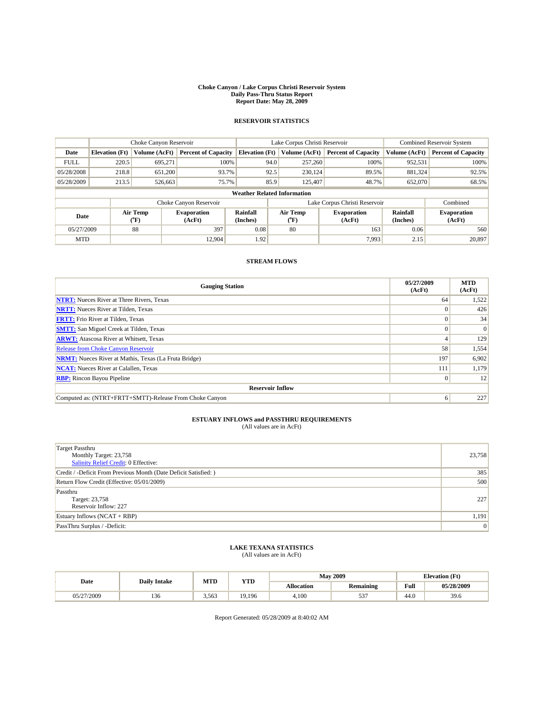#### **Choke Canyon / Lake Corpus Christi Reservoir System Daily Pass-Thru Status Report Report Date: May 28, 2009**

## **RESERVOIR STATISTICS**

|                                    | Choke Canyon Reservoir |                  | Lake Corpus Christi Reservoir |                       |      |                                         | Combined Reservoir System     |                             |                              |
|------------------------------------|------------------------|------------------|-------------------------------|-----------------------|------|-----------------------------------------|-------------------------------|-----------------------------|------------------------------|
| Date                               | <b>Elevation</b> (Ft)  | Volume (AcFt)    | <b>Percent of Capacity</b>    | <b>Elevation</b> (Ft) |      | Volume (AcFt)                           | <b>Percent of Capacity</b>    | Volume (AcFt)               | <b>Percent of Capacity</b>   |
| <b>FULL</b>                        | 220.5                  | 695.271          | 100%                          |                       | 94.0 | 257,260                                 | 100%                          | 952,531                     | 100%                         |
| 05/28/2008                         | 218.8                  | 651.200          | 93.7%                         |                       | 92.5 | 230.124                                 | 89.5%                         | 881.324                     | 92.5%                        |
| 05/28/2009                         | 213.5                  | 526,663          | 75.7%                         |                       | 85.9 | 125,407                                 | 48.7%                         | 652,070                     | 68.5%                        |
| <b>Weather Related Information</b> |                        |                  |                               |                       |      |                                         |                               |                             |                              |
|                                    |                        |                  | Choke Canyon Reservoir        |                       |      |                                         | Lake Corpus Christi Reservoir |                             | Combined                     |
| Date                               |                        | Air Temp<br>(°F) | <b>Evaporation</b><br>(AcFt)  | Rainfall<br>(Inches)  |      | Air Temp<br>$(^{\mathrm{o}}\mathrm{F})$ | <b>Evaporation</b><br>(AcFt)  | <b>Rainfall</b><br>(Inches) | <b>Evaporation</b><br>(AcFt) |
| 05/27/2009                         |                        | 88               | 397                           | 0.08                  |      | 80                                      | 163                           | 0.06                        | 560                          |
| <b>MTD</b>                         |                        |                  | 12.904                        | 1.92                  |      |                                         | 7,993                         | 2.15                        | 20,897                       |

## **STREAM FLOWS**

| <b>Gauging Station</b>                                       | 05/27/2009<br>(AcFt) | <b>MTD</b><br>(AcFt) |
|--------------------------------------------------------------|----------------------|----------------------|
| <b>NTRT:</b> Nueces River at Three Rivers, Texas             | 64                   | 1,522                |
| <b>NRTT:</b> Nueces River at Tilden, Texas                   |                      | 426                  |
| <b>FRTT:</b> Frio River at Tilden, Texas                     |                      | 34                   |
| <b>SMTT:</b> San Miguel Creek at Tilden, Texas               |                      | $\vert 0 \vert$      |
| <b>ARWT:</b> Atascosa River at Whitsett, Texas               |                      | 129                  |
| <b>Release from Choke Canyon Reservoir</b>                   | 58                   | 1,554                |
| <b>NRMT:</b> Nueces River at Mathis, Texas (La Fruta Bridge) | 197                  | 6,902                |
| <b>NCAT:</b> Nueces River at Calallen, Texas                 | 111                  | 1,179                |
| <b>RBP:</b> Rincon Bayou Pipeline                            | $\Omega$             | 12                   |
| <b>Reservoir Inflow</b>                                      |                      |                      |
| Computed as: (NTRT+FRTT+SMTT)-Release From Choke Canyon      | 6                    | 227                  |

## **ESTUARY INFLOWS and PASSTHRU REQUIREMENTS**<br>(All values are in AcFt)

| <b>Target Passthru</b><br>Monthly Target: 23,758<br>Salinity Relief Credit: 0 Effective: | 23,758 |
|------------------------------------------------------------------------------------------|--------|
| Credit / -Deficit From Previous Month (Date Deficit Satisfied: )                         | 385    |
| Return Flow Credit (Effective: 05/01/2009)                                               | 500    |
| Passthru<br>Target: 23,758<br>Reservoir Inflow: 227                                      | 227    |
| Estuary Inflows $(NCAT + RBP)$                                                           | 1,191  |
| PassThru Surplus / -Deficit:                                                             | 0      |

# **LAKE TEXANA STATISTICS** (All values are in AcFt)

| Date            | <b>Daily Intake</b> | MTD   | <b>YTD</b> |                   | <b>May 2009</b>  | <b>Elevation</b> (Ft) |            |
|-----------------|---------------------|-------|------------|-------------------|------------------|-----------------------|------------|
|                 |                     |       |            | <b>Allocation</b> | <b>Remaining</b> | Full                  | 05/28/2009 |
| /27/2009<br>75/ | $\sim$<br>136       | 3,563 | 19.196     | 4.100             | $-0$<br>ັບ       | 44.0                  | 39.6       |

Report Generated: 05/28/2009 at 8:40:02 AM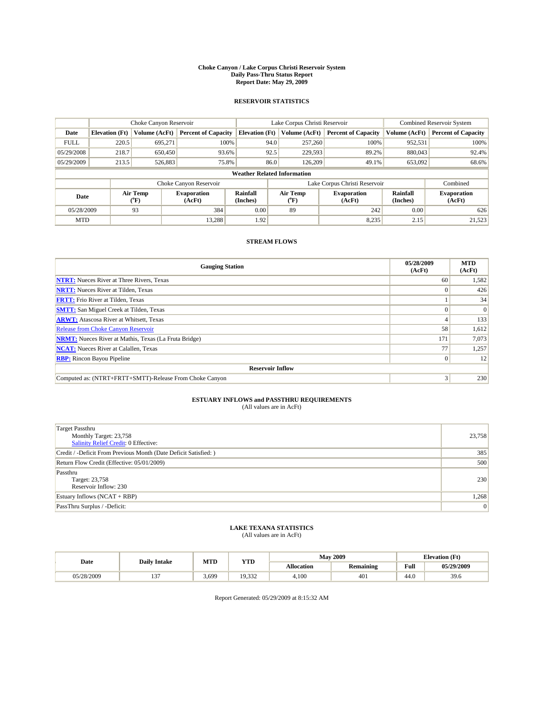#### **Choke Canyon / Lake Corpus Christi Reservoir System Daily Pass-Thru Status Report Report Date: May 29, 2009**

### **RESERVOIR STATISTICS**

|             |                                    | Choke Canyon Reservoir |                              |                       | Lake Corpus Christi Reservoir | <b>Combined Reservoir System</b> |                      |                              |  |  |
|-------------|------------------------------------|------------------------|------------------------------|-----------------------|-------------------------------|----------------------------------|----------------------|------------------------------|--|--|
| Date        | <b>Elevation</b> (Ft)              | Volume (AcFt)          | <b>Percent of Capacity</b>   | <b>Elevation</b> (Ft) | Volume (AcFt)                 | <b>Percent of Capacity</b>       | Volume (AcFt)        | <b>Percent of Capacity</b>   |  |  |
| <b>FULL</b> | 220.5                              | 695,271                | 100%                         | 94.0                  | 257,260                       | 100%                             | 952,531              | 100%                         |  |  |
| 05/29/2008  | 218.7                              | 650,450                | 93.6%                        | 92.5                  | 229,593                       | 89.2%                            | 880,043              | 92.4%                        |  |  |
| 05/29/2009  | 213.5                              | 526,883                | 75.8%                        | 86.0                  | 126,209                       | 49.1%                            | 653,092              | 68.6%                        |  |  |
|             | <b>Weather Related Information</b> |                        |                              |                       |                               |                                  |                      |                              |  |  |
|             |                                    |                        | Choke Canyon Reservoir       |                       |                               | Lake Corpus Christi Reservoir    |                      | Combined                     |  |  |
| Date        |                                    | Air Temp<br>(°F)       | <b>Evaporation</b><br>(AcFt) | Rainfall<br>(Inches)  | Air Temp<br>("F)              | <b>Evaporation</b><br>(AcFt)     | Rainfall<br>(Inches) | <b>Evaporation</b><br>(AcFt) |  |  |
| 05/28/2009  |                                    | 93                     | 384                          | 0.00                  | 89                            | 242                              | 0.00                 | 626                          |  |  |
| <b>MTD</b>  |                                    |                        | 13.288                       | 1.92                  |                               | 8,235                            | 2.15                 | 21,523                       |  |  |

## **STREAM FLOWS**

| <b>Gauging Station</b>                                       | 05/28/2009<br>(AcFt) | <b>MTD</b><br>(AcFt) |  |  |  |  |
|--------------------------------------------------------------|----------------------|----------------------|--|--|--|--|
| <b>NTRT:</b> Nueces River at Three Rivers, Texas             | 60                   | 1,582                |  |  |  |  |
| <b>NRTT:</b> Nueces River at Tilden, Texas                   | $\Omega$             | 426                  |  |  |  |  |
| <b>FRTT:</b> Frio River at Tilden, Texas                     |                      | 34                   |  |  |  |  |
| <b>SMTT:</b> San Miguel Creek at Tilden, Texas               |                      | $\Omega$             |  |  |  |  |
| <b>ARWT:</b> Atascosa River at Whitsett, Texas               |                      | 133                  |  |  |  |  |
| Release from Choke Canyon Reservoir                          | 58                   | 1,612                |  |  |  |  |
| <b>NRMT:</b> Nueces River at Mathis, Texas (La Fruta Bridge) | 171                  | 7,073                |  |  |  |  |
| <b>NCAT:</b> Nueces River at Calallen, Texas                 | 77                   | 1,257                |  |  |  |  |
| <b>RBP:</b> Rincon Bayou Pipeline                            | $\overline{0}$       | 12                   |  |  |  |  |
| <b>Reservoir Inflow</b>                                      |                      |                      |  |  |  |  |
| Computed as: (NTRT+FRTT+SMTT)-Release From Choke Canyon      | 3                    | 230                  |  |  |  |  |

# **ESTUARY INFLOWS and PASSTHRU REQUIREMENTS**<br>(All values are in AcFt)

| Target Passthru                                                  |                |
|------------------------------------------------------------------|----------------|
| Monthly Target: 23,758                                           | 23,758         |
| <b>Salinity Relief Credit: 0 Effective:</b>                      |                |
| Credit / -Deficit From Previous Month (Date Deficit Satisfied: ) | 385            |
| Return Flow Credit (Effective: 05/01/2009)                       | 500            |
| Passthru                                                         |                |
| Target: 23,758                                                   | 230            |
| Reservoir Inflow: 230                                            |                |
| Estuary Inflows $(NCAT + RBP)$                                   | 1,268          |
| PassThru Surplus / -Deficit:                                     | $\overline{0}$ |

## **LAKE TEXANA STATISTICS** (All values are in AcFt)

|            | <b>Daily Intake</b> | MTD   | <b>YTD</b>      |                   | <b>May 2009</b>  | <b>Elevation</b> (Ft)                       |            |
|------------|---------------------|-------|-----------------|-------------------|------------------|---------------------------------------------|------------|
| Date       |                     |       |                 | <b>Allocation</b> | <b>Remaining</b> | Full<br>the contract of the contract of the | 05/29/2009 |
| 05/28/2009 | $\sim$<br>. .       | 3,699 | 10 332<br>9.JJZ | 4.100             | 401              | 44.0                                        | 39.6       |

Report Generated: 05/29/2009 at 8:15:32 AM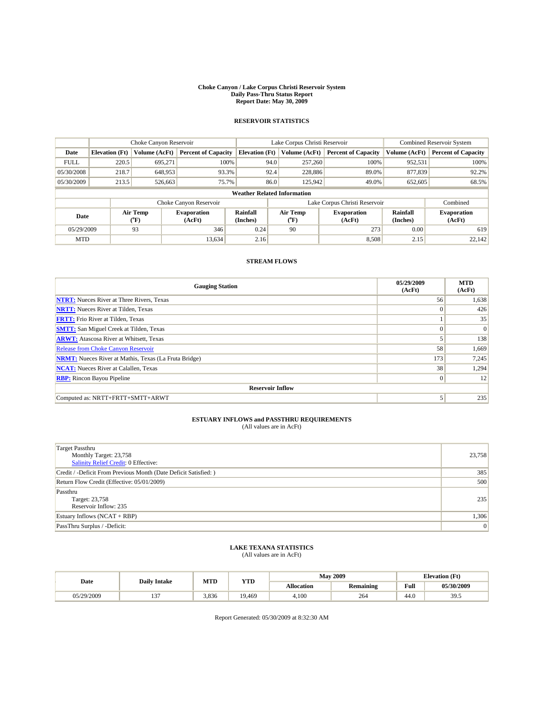#### **Choke Canyon / Lake Corpus Christi Reservoir System Daily Pass-Thru Status Report Report Date: May 30, 2009**

## **RESERVOIR STATISTICS**

|                                    | Choke Canyon Reservoir |                  | Lake Corpus Christi Reservoir |                       |      |                                         | Combined Reservoir System     |                             |                              |
|------------------------------------|------------------------|------------------|-------------------------------|-----------------------|------|-----------------------------------------|-------------------------------|-----------------------------|------------------------------|
| Date                               | <b>Elevation</b> (Ft)  | Volume (AcFt)    | <b>Percent of Capacity</b>    | <b>Elevation</b> (Ft) |      | Volume (AcFt)                           | <b>Percent of Capacity</b>    | Volume (AcFt)               | <b>Percent of Capacity</b>   |
| <b>FULL</b>                        | 220.5                  | 695.271          | 100%                          |                       | 94.0 | 257,260                                 | 100%                          | 952,531                     | 100%                         |
| 05/30/2008                         | 218.7                  | 648,953          | 93.3%                         |                       | 92.4 | 228,886                                 | 89.0%                         | 877,839                     | 92.2%                        |
| 05/30/2009                         | 213.5                  | 526,663          | 75.7%                         |                       | 86.0 | 125,942                                 | 49.0%                         | 652,605                     | 68.5%                        |
| <b>Weather Related Information</b> |                        |                  |                               |                       |      |                                         |                               |                             |                              |
|                                    |                        |                  | Choke Canyon Reservoir        |                       |      |                                         | Lake Corpus Christi Reservoir |                             | Combined                     |
| Date                               |                        | Air Temp<br>(°F) | <b>Evaporation</b><br>(AcFt)  | Rainfall<br>(Inches)  |      | Air Temp<br>$(^{\mathrm{o}}\mathrm{F})$ | <b>Evaporation</b><br>(AcFt)  | <b>Rainfall</b><br>(Inches) | <b>Evaporation</b><br>(AcFt) |
| 05/29/2009                         |                        | 93               | 346                           | 0.24                  |      | 90                                      | 273                           | 0.00                        | 619                          |
| <b>MTD</b>                         |                        |                  | 13,634                        | 2.16                  |      |                                         | 8,508                         | 2.15                        | 22.142                       |

## **STREAM FLOWS**

| <b>Gauging Station</b>                                       | 05/29/2009<br>(AcFt) | <b>MTD</b><br>(AcFt) |  |  |  |  |  |
|--------------------------------------------------------------|----------------------|----------------------|--|--|--|--|--|
| <b>NTRT:</b> Nueces River at Three Rivers, Texas             | 56                   | 1,638                |  |  |  |  |  |
| <b>NRTT:</b> Nueces River at Tilden, Texas                   | $\theta$             | 426                  |  |  |  |  |  |
| <b>FRTT:</b> Frio River at Tilden, Texas                     |                      | 35                   |  |  |  |  |  |
| <b>SMTT:</b> San Miguel Creek at Tilden, Texas               |                      | $\vert 0 \vert$      |  |  |  |  |  |
| <b>ARWT:</b> Atascosa River at Whitsett, Texas               |                      | 138                  |  |  |  |  |  |
| <b>Release from Choke Canyon Reservoir</b>                   | 58                   | 1,669                |  |  |  |  |  |
| <b>NRMT:</b> Nueces River at Mathis, Texas (La Fruta Bridge) | 173                  | 7,245                |  |  |  |  |  |
| <b>NCAT:</b> Nueces River at Calallen, Texas                 | 38                   | 1,294                |  |  |  |  |  |
| <b>RBP:</b> Rincon Bayou Pipeline                            | $\mathbf{0}$         | 12                   |  |  |  |  |  |
| <b>Reservoir Inflow</b>                                      |                      |                      |  |  |  |  |  |
| Computed as: NRTT+FRTT+SMTT+ARWT                             | 5                    | 235                  |  |  |  |  |  |

## **ESTUARY INFLOWS and PASSTHRU REQUIREMENTS**<br>(All values are in AcFt)

| <b>Target Passthru</b><br>Monthly Target: 23,758<br>Salinity Relief Credit: 0 Effective: | 23,758 |
|------------------------------------------------------------------------------------------|--------|
| Credit / -Deficit From Previous Month (Date Deficit Satisfied: )                         | 385    |
| Return Flow Credit (Effective: 05/01/2009)                                               | 500    |
| Passthru<br>Target: 23,758<br>Reservoir Inflow: 235                                      | 235    |
| Estuary Inflows (NCAT + RBP)                                                             | 1,306  |
| PassThru Surplus / -Deficit:                                                             | 0      |

# **LAKE TEXANA STATISTICS** (All values are in AcFt)

| Date            | <b>Daily Intake</b> | MTD   | VTT    |                   | <b>May 2009</b>  | <b>Elevation</b> (Ft) |            |
|-----------------|---------------------|-------|--------|-------------------|------------------|-----------------------|------------|
|                 |                     |       | 1 L.D  | <b>Allocation</b> | <b>Remaining</b> | Full                  | 05/30/2009 |
| /29/2009<br>05/ | $\sim$<br>1 J       | 3.836 | 19.469 | 4.100             | 264              | 44.0                  | 39.5       |

Report Generated: 05/30/2009 at 8:32:30 AM